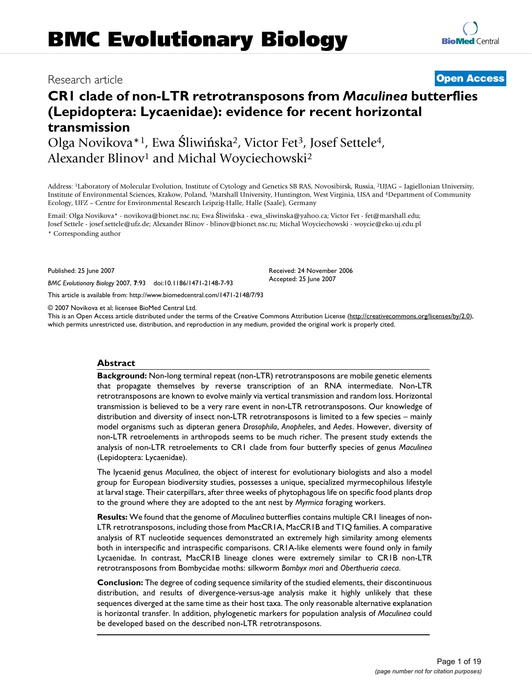# **CR1 clade of non-LTR retrotransposons from** *Maculinea* **butterflies (Lepidoptera: Lycaenidae): evidence for recent horizontal transmission**

Olga Novikova\*1, Ewa Śliwińska2, Victor Fet3, Josef Settele4, Alexander Blinov<sup>1</sup> and Michal Woyciechowski<sup>2</sup>

Address: 1Laboratory of Molecular Evolution, Institute of Cytology and Genetics SB RAS, Novosibirsk, Russia, 2UJAG – Jagiellonian University, Institute of Environmental Sciences, Krakow, Poland, 3Marshall University, Huntington, West Virginia, USA and 4Department of Community Ecology, UFZ – Centre for Environmental Research Leipzig-Halle, Halle (Saale), Germany

Email: Olga Novikova\* - novikova@bionet.nsc.ru; Ewa Śliwińska - ewa\_sliwinska@yahoo.ca; Victor Fet - fet@marshall.edu; Josef Settele - josef.settele@ufz.de; Alexander Blinov - blinov@bionet.nsc.ru; Michal Woyciechowski - woycie@eko.uj.edu.pl \* Corresponding author

Published: 25 June 2007

*BMC Evolutionary Biology* 2007, **7**:93 doi:10.1186/1471-2148-7-93

[This article is available from: http://www.biomedcentral.com/1471-2148/7/93](http://www.biomedcentral.com/1471-2148/7/93)

© 2007 Novikova et al; licensee BioMed Central Ltd.

This is an Open Access article distributed under the terms of the Creative Commons Attribution License [\(http://creativecommons.org/licenses/by/2.0\)](http://creativecommons.org/licenses/by/2.0), which permits unrestricted use, distribution, and reproduction in any medium, provided the original work is properly cited.

#### **Abstract**

**Background:** Non-long terminal repeat (non-LTR) retrotransposons are mobile genetic elements that propagate themselves by reverse transcription of an RNA intermediate. Non-LTR retrotransposons are known to evolve mainly via vertical transmission and random loss. Horizontal transmission is believed to be a very rare event in non-LTR retrotransposons. Our knowledge of distribution and diversity of insect non-LTR retrotransposons is limited to a few species – mainly model organisms such as dipteran genera *Drosophila*, *Anopheles*, and *Aedes*. However, diversity of non-LTR retroelements in arthropods seems to be much richer. The present study extends the analysis of non-LTR retroelements to CR1 clade from four butterfly species of genus *Maculinea* (Lepidoptera: Lycaenidae).

The lycaenid genus *Maculinea*, the object of interest for evolutionary biologists and also a model group for European biodiversity studies, possesses a unique, specialized myrmecophilous lifestyle at larval stage. Their caterpillars, after three weeks of phytophagous life on specific food plants drop to the ground where they are adopted to the ant nest by *Myrmica* foraging workers.

**Results:** We found that the genome of *Maculinea* butterflies contains multiple CR1 lineages of non-LTR retrotransposons, including those from MacCR1A, MacCR1B and T1Q families. A comparative analysis of RT nucleotide sequences demonstrated an extremely high similarity among elements both in interspecific and intraspecific comparisons. CR1A-like elements were found only in family Lycaenidae. In contrast, MacCR1B lineage clones were extremely similar to CR1B non-LTR retrotransposons from Bombycidae moths: silkworm *Bombyx mori* and *Oberthueria caeca*.

**Conclusion:** The degree of coding sequence similarity of the studied elements, their discontinuous distribution, and results of divergence-versus-age analysis make it highly unlikely that these sequences diverged at the same time as their host taxa. The only reasonable alternative explanation is horizontal transfer. In addition, phylogenetic markers for population analysis of *Maculinea* could be developed based on the described non-LTR retrotransposons.

# Research article **[Open Access](http://www.biomedcentral.com/info/about/charter/)**

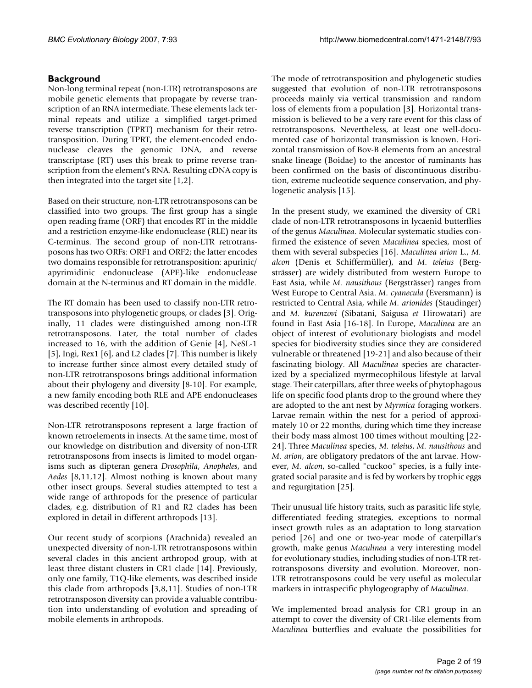# **Background**

Non-long terminal repeat (non-LTR) retrotransposons are mobile genetic elements that propagate by reverse transcription of an RNA intermediate. These elements lack terminal repeats and utilize a simplified target-primed reverse transcription (TPRT) mechanism for their retrotransposition. During TPRT, the element-encoded endonuclease cleaves the genomic DNA, and reverse transcriptase (RT) uses this break to prime reverse transcription from the element's RNA. Resulting cDNA copy is then integrated into the target site [1,2].

Based on their structure, non-LTR retrotransposons can be classified into two groups. The first group has a single open reading frame (ORF) that encodes RT in the middle and a restriction enzyme-like endonuclease (RLE) near its C-terminus. The second group of non-LTR retrotransposons has two ORFs: ORF1 and ORF2; the latter encodes two domains responsible for retrotransposition: apurinic/ apyrimidinic endonuclease (APE)-like endonuclease domain at the N-terminus and RT domain in the middle.

The RT domain has been used to classify non-LTR retrotransposons into phylogenetic groups, or clades [3]. Originally, 11 clades were distinguished among non-LTR retrotransposons. Later, the total number of clades increased to 16, with the addition of Genie [4], NeSL-1 [5], Ingi, Rex1 [6], and L2 clades [7]. This number is likely to increase further since almost every detailed study of non-LTR retrotransposons brings additional information about their phylogeny and diversity [8-10]. For example, a new family encoding both RLE and APE endonucleases was described recently [10].

Non-LTR retrotransposons represent a large fraction of known retroelements in insects. At the same time, most of our knowledge on distribution and diversity of non-LTR retrotransposons from insects is limited to model organisms such as dipteran genera *Drosophila*, *Anopheles*, and *Aedes* [8,11,12]. Almost nothing is known about many other insect groups. Several studies attempted to test a wide range of arthropods for the presence of particular clades, e.g. distribution of R1 and R2 clades has been explored in detail in different arthropods [13].

Our recent study of scorpions (Arachnida) revealed an unexpected diversity of non-LTR retrotransposons within several clades in this ancient arthropod group, with at least three distant clusters in CR1 clade [14]. Previously, only one family, T1Q-like elements, was described inside this clade from arthropods [3,8,11]. Studies of non-LTR retrotransposon diversity can provide a valuable contribution into understanding of evolution and spreading of mobile elements in arthropods.

The mode of retrotransposition and phylogenetic studies suggested that evolution of non-LTR retrotransposons proceeds mainly via vertical transmission and random loss of elements from a population [3]. Horizontal transmission is believed to be a very rare event for this class of retrotransposons. Nevertheless, at least one well-documented case of horizontal transmission is known. Horizontal transmission of Bov-B elements from an ancestral snake lineage (Boidae) to the ancestor of ruminants has been confirmed on the basis of discontinuous distribution, extreme nucleotide sequence conservation, and phylogenetic analysis [15].

In the present study, we examined the diversity of CR1 clade of non-LTR retrotransposons in lycaenid butterflies of the genus *Maculinea*. Molecular systematic studies confirmed the existence of seven *Maculinea* species, most of them with several subspecies [16]. *Maculinea arion* L., *M. alcon* (Denis et Schiffermüller), and *M. teleius* (Bergsträsser) are widely distributed from western Europe to East Asia, while *M. nausithous* (Bergsträsser) ranges from West Europe to Central Asia. *M. cyanecula* (Eversmann) is restricted to Central Asia, while *M. arionides* (Staudinger) and *M. kurenzovi* (Sibatani, Saigusa *et* Hirowatari) are found in East Asia [16-18]. In Europe, *Maculinea* are an object of interest of evolutionary biologists and model species for biodiversity studies since they are considered vulnerable or threatened [19-21] and also because of their fascinating biology. All *Maculinea* species are characterized by a specialized myrmecophilous lifestyle at larval stage. Their caterpillars, after three weeks of phytophagous life on specific food plants drop to the ground where they are adopted to the ant nest by *Myrmica* foraging workers. Larvae remain within the nest for a period of approximately 10 or 22 months, during which time they increase their body mass almost 100 times without moulting [22- 24]. Three *Maculinea* species, *M. teleius*, *M. nausithous* and *M. arion*, are obligatory predators of the ant larvae. However, *M. alcon*, so-called "cuckoo" species, is a fully integrated social parasite and is fed by workers by trophic eggs and regurgitation [25].

Their unusual life history traits, such as parasitic life style, differentiated feeding strategies, exceptions to normal insect growth rules as an adaptation to long starvation period [26] and one or two-year mode of caterpillar's growth, make genus *Maculinea* a very interesting model for evolutionary studies, including studies of non-LTR retrotransposons diversity and evolution. Moreover, non-LTR retrotransposons could be very useful as molecular markers in intraspecific phylogeography of *Maculinea*.

We implemented broad analysis for CR1 group in an attempt to cover the diversity of CR1-like elements from *Maculinea* butterflies and evaluate the possibilities for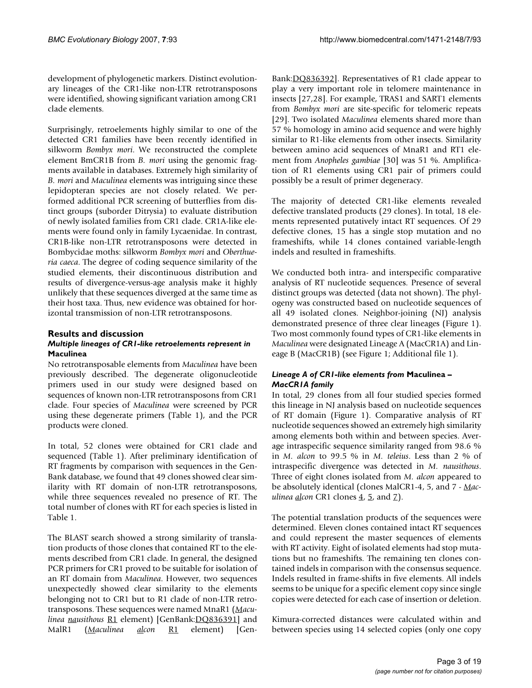development of phylogenetic markers. Distinct evolutionary lineages of the CR1-like non-LTR retrotransposons were identified, showing significant variation among CR1 clade elements.

Surprisingly, retroelements highly similar to one of the detected CR1 families have been recently identified in silkworm *Bombyx mori*. We reconstructed the complete element BmCR1B from *B. mori* using the genomic fragments available in databases. Extremely high similarity of *B. mori* and *Maculinea* elements was intriguing since these lepidopteran species are not closely related. We performed additional PCR screening of butterflies from distinct groups (suborder Ditrysia) to evaluate distribution of newly isolated families from CR1 clade. CR1A-like elements were found only in family Lycaenidae. In contrast, CR1B-like non-LTR retrotransposons were detected in Bombycidae moths: silkworm *Bombyx mori* and *Oberthueria caeca*. The degree of coding sequence similarity of the studied elements, their discontinuous distribution and results of divergence-versus-age analysis make it highly unlikely that these sequences diverged at the same time as their host taxa. Thus, new evidence was obtained for horizontal transmission of non-LTR retrotransposons.

# **Results and discussion**

### *Multiple lineages of CR1-like retroelements represent in*  **Maculinea**

No retrotransposable elements from *Maculinea* have been previously described. The degenerate oligonucleotide primers used in our study were designed based on sequences of known non-LTR retrotransposons from CR1 clade. Four species of *Maculinea* were screened by PCR using these degenerate primers (Table 1), and the PCR products were cloned.

In total, 52 clones were obtained for CR1 clade and sequenced (Table 1). After preliminary identification of RT fragments by comparison with sequences in the Gen-Bank database, we found that 49 clones showed clear similarity with RT domain of non-LTR retrotransposons, while three sequences revealed no presence of RT. The total number of clones with RT for each species is listed in Table 1.

The BLAST search showed a strong similarity of translation products of those clones that contained RT to the elements described from CR1 clade. In general, the designed PCR primers for CR1 proved to be suitable for isolation of an RT domain from *Maculinea*. However, two sequences unexpectedly showed clear similarity to the elements belonging not to CR1 but to R1 clade of non-LTR retrotransposons. These sequences were named MnaR1 (*Maculinea nausithous* R1 element) [GenBank:[DQ836391\]](http://www.ncbi.nih.gov/entrez/query.fcgi?db=Nucleotide&cmd=search&term=DQ836391) and MalR1 (*Maculinea alcon* R1 element) [GenBank:[DQ836392\]](http://www.ncbi.nih.gov/entrez/query.fcgi?db=Nucleotide&cmd=search&term=DQ836392). Representatives of R1 clade appear to play a very important role in telomere maintenance in insects [27,28]. For example, TRAS1 and SART1 elements from *Bombyx mori* are site-specific for telomeric repeats [29]. Two isolated *Maculinea* elements shared more than 57 % homology in amino acid sequence and were highly similar to R1-like elements from other insects. Similarity between amino acid sequences of MnaR1 and RT1 element from *Anopheles gambiae* [30] was 51 %. Amplification of R1 elements using CR1 pair of primers could possibly be a result of primer degeneracy.

The majority of detected CR1-like elements revealed defective translated products (29 clones). In total, 18 elements represented putatively intact RT sequences. Of 29 defective clones, 15 has a single stop mutation and no frameshifts, while 14 clones contained variable-length indels and resulted in frameshifts.

We conducted both intra- and interspecific comparative analysis of RT nucleotide sequences. Presence of several distinct groups was detected (data not shown). The phylogeny was constructed based on nucleotide sequences of all 49 isolated clones. Neighbor-joining (NJ) analysis demonstrated presence of three clear lineages (Figure 1). Two most commonly found types of CR1-like elements in *Maculinea* were designated Lineage A (MacCR1A) and Lineage B (MacCR1B) (see Figure 1; Additional file 1).

#### *Lineage A of CR1-like elements from* **Maculinea** *– MacCR1A family*

In total, 29 clones from all four studied species formed this lineage in NJ analysis based on nucleotide sequences of RT domain (Figure 1). Comparative analysis of RT nucleotide sequences showed an extremely high similarity among elements both within and between species. Average intraspecific sequence similarity ranged from 98.6 % in *M. alcon* to 99.5 % in *M. teleius*. Less than 2 % of intraspecific divergence was detected in *M. nausithous*. Three of eight clones isolated from *M. alcon* appeared to be absolutely identical (clones MalCR1-4, 5, and 7 - *Maculinea <u>al</u>con CR1* clones  $4, 5$ , and  $7$ ).

The potential translation products of the sequences were determined. Eleven clones contained intact RT sequences and could represent the master sequences of elements with RT activity. Eight of isolated elements had stop mutations but no frameshifts. The remaining ten clones contained indels in comparison with the consensus sequence. Indels resulted in frame-shifts in five elements. All indels seems to be unique for a specific element copy since single copies were detected for each case of insertion or deletion.

Kimura-corrected distances were calculated within and between species using 14 selected copies (only one copy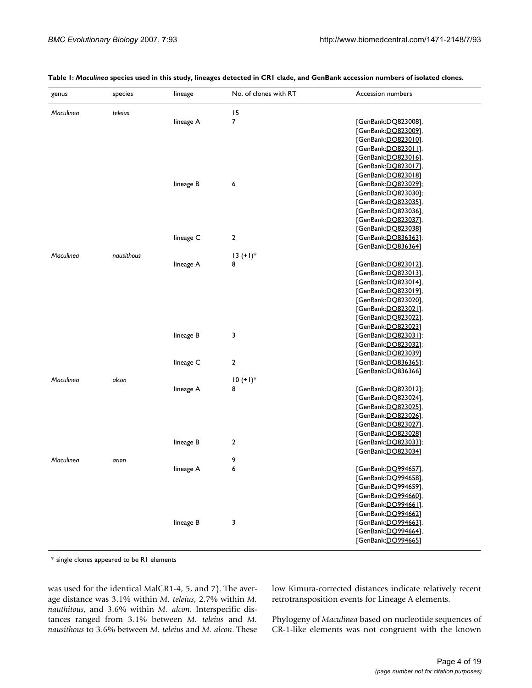| genus     | species    | lineage   | No. of clones with RT   | Accession numbers     |
|-----------|------------|-----------|-------------------------|-----------------------|
| Maculinea | teleius    |           | 15                      |                       |
|           |            | lineage A | 7                       | [GenBank:DO823008],   |
|           |            |           |                         | [GenBank:DQ823009],   |
|           |            |           |                         | [GenBank:DQ823010],   |
|           |            |           |                         | [GenBank: DO823011],  |
|           |            |           |                         | [GenBank:DO823016],   |
|           |            |           |                         | [GenBank:DO823017],   |
|           |            |           |                         | [GenBank: DO823018]   |
|           |            | lineage B | 6                       | [GenBank:DO823029];   |
|           |            |           |                         | [GenBank:DO823030];   |
|           |            |           |                         | [GenBank:DO823035],   |
|           |            |           |                         | [GenBank:DO823036],   |
|           |            |           |                         | [GenBank:DO823037],   |
|           |            |           |                         | [GenBank:DO823038]    |
|           |            | lineage C | $\overline{\mathbf{c}}$ | [GenBank:DO836363];   |
|           |            |           |                         | [GenBank:DO836364]    |
| Maculinea | nausithous |           | $13 (+1)*$              |                       |
|           |            | lineage A | 8                       | [GenBank:DQ823012],   |
|           |            |           |                         | [GenBank: DO823013],  |
|           |            |           |                         | [GenBank:DO823014],   |
|           |            |           |                         | [GenBank:DO823019],   |
|           |            |           |                         | [GenBank:DQ823020],   |
|           |            |           |                         | [GenBank:DO823021],   |
|           |            |           |                         | [GenBank:DQ823022],   |
|           |            |           |                         | [GenBank: DO823023]   |
|           |            | lineage B | 3                       | [GenBank:DO823031];   |
|           |            |           |                         | [GenBank:DQ823032];   |
|           |            |           |                         | [GenBank:DO823039]    |
|           |            | lineage C | $\overline{\mathbf{c}}$ | [GenBank:DO836365];   |
|           |            |           |                         | [GenBank:DQ836366]    |
| Maculinea | alcon      |           | $10 (+1)*$              |                       |
|           |            | lineage A | 8                       | [GenBank:DO823012];   |
|           |            |           |                         | [GenBank: DQ823024],  |
|           |            |           |                         | [GenBank:DO823025],   |
|           |            |           |                         | [GenBank:DO823026],   |
|           |            |           |                         | [GenBank:DO823027],   |
|           |            |           |                         | [GenBank:DO823028]    |
|           |            | lineage B | 2                       | [GenBank:DO823033];   |
|           |            |           |                         | [GenBank:DQ823034]    |
| Maculinea | arion      |           | 9                       |                       |
|           |            | lineage A | 6                       | [GenBank: DO 994657]  |
|           |            |           |                         | [GenBank:DQ994658],   |
|           |            |           |                         | [GenBank: DO 994659], |
|           |            |           |                         | [GenBank: DO 994660], |
|           |            |           |                         | [GenBank:DQ994661],   |
|           |            |           |                         | [GenBank:DO994662]    |
|           |            | lineage B | 3                       | [GenBank: DQ994663],  |
|           |            |           |                         | [GenBank:DQ994664],   |
|           |            |           |                         | [GenBank:DQ994665]    |

**Table 1:** *Maculinea* **species used in this study, lineages detected in CR1 clade, and GenBank accession numbers of isolated clones.**

\* single clones appeared to be R1 elements

was used for the identical MalCR1-4, 5, and 7). The average distance was 3.1% within *M. teleius*, 2.7% within *M. nauthitous*, and 3.6% within *M. alcon*. Interspecific distances ranged from 3.1% between *M. teleius* and *M. nausithous* to 3.6% between *M. teleius* and *M. alcon*. These low Kimura-corrected distances indicate relatively recent retrotransposition events for Lineage A elements.

Phylogeny of *Maculinea* based on nucleotide sequences of CR-1-like elements was not congruent with the known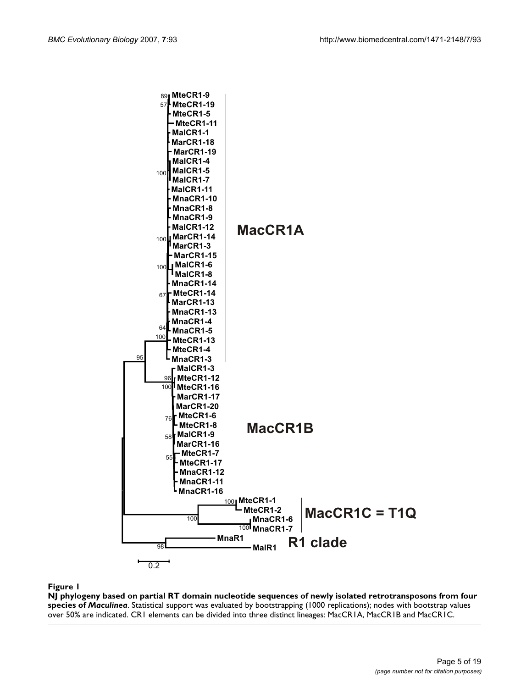

**NJ phylogeny based on partial RT domain nucleotide sequences of newly isolated retrotransposons from four species of** *Maculinea*. Statistical support was evaluated by bootstrapping (1000 replications); nodes with bootstrap values over 50% are indicated. CR1 elements can be divided into three distinct lineages: MacCR1A, MacCR1B and MacCR1C.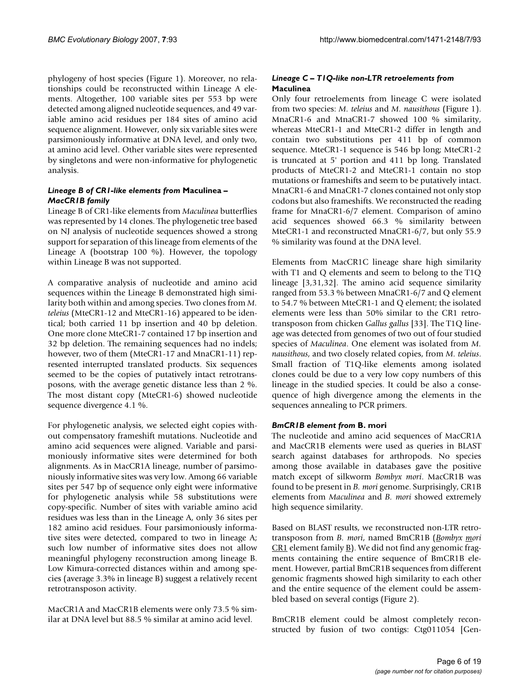phylogeny of host species (Figure 1). Moreover, no relationships could be reconstructed within Lineage A elements. Altogether, 100 variable sites per 553 bp were detected among aligned nucleotide sequences, and 49 variable amino acid residues per 184 sites of amino acid sequence alignment. However, only six variable sites were parsimoniously informative at DNA level, and only two, at amino acid level. Other variable sites were represented by singletons and were non-informative for phylogenetic analysis.

#### *Lineage B of CR1-like elements from* **Maculinea** *– MacCR1B family*

Lineage B of CR1-like elements from *Maculinea* butterflies was represented by 14 clones. The phylogenetic tree based on NJ analysis of nucleotide sequences showed a strong support for separation of this lineage from elements of the Lineage A (bootstrap 100 %). However, the topology within Lineage B was not supported.

A comparative analysis of nucleotide and amino acid sequences within the Lineage B demonstrated high similarity both within and among species. Two clones from *M. teleius* (MteCR1-12 and MteCR1-16) appeared to be identical; both carried 11 bp insertion and 40 bp deletion. One more clone MteCR1-7 contained 17 bp insertion and 32 bp deletion. The remaining sequences had no indels; however, two of them (MteCR1-17 and MnaCR1-11) represented interrupted translated products. Six sequences seemed to be the copies of putatively intact retrotransposons, with the average genetic distance less than 2 %. The most distant copy (MteCR1-6) showed nucleotide sequence divergence 4.1 %.

For phylogenetic analysis, we selected eight copies without compensatory frameshift mutations. Nucleotide and amino acid sequences were aligned. Variable and parsimoniously informative sites were determined for both alignments. As in MacCR1A lineage, number of parsimoniously informative sites was very low. Among 66 variable sites per 547 bp of sequence only eight were informative for phylogenetic analysis while 58 substitutions were copy-specific. Number of sites with variable amino acid residues was less than in the Lineage A, only 36 sites per 182 amino acid residues. Four parsimoniously informative sites were detected, compared to two in lineage A; such low number of informative sites does not allow meaningful phylogeny reconstruction among lineage B. Low Kimura-corrected distances within and among species (average 3.3% in lineage B) suggest a relatively recent retrotransposon activity.

MacCR1A and MacCR1B elements were only 73.5 % similar at DNA level but 88.5 % similar at amino acid level.

#### *Lineage C – T1Q-like non-LTR retroelements from*  **Maculinea**

Only four retroelements from lineage C were isolated from two species: *M. teleius* and *M. nausithous* (Figure 1). MnaCR1-6 and MnaCR1-7 showed 100 % similarity, whereas MteCR1-1 and MteCR1-2 differ in length and contain two substitutions per 411 bp of common sequence. MteCR1-1 sequence is 546 bp long; MteCR1-2 is truncated at 5' portion and 411 bp long. Translated products of MteCR1-2 and MteCR1-1 contain no stop mutations or frameshifts and seem to be putatively intact. MnaCR1-6 and MnaCR1-7 clones contained not only stop codons but also frameshifts. We reconstructed the reading frame for MnaCR1-6/7 element. Comparison of amino acid sequences showed 66.3 % similarity between MteCR1-1 and reconstructed MnaCR1-6/7, but only 55.9 % similarity was found at the DNA level.

Elements from MacCR1C lineage share high similarity with T1 and Q elements and seem to belong to the T1Q lineage [3,[31](#page-17-0),32]. The amino acid sequence similarity ranged from 53.3 % between MnaCR1-6/7 and Q element to 54.7 % between MteCR1-1 and Q element; the isolated elements were less than 50% similar to the CR1 retrotransposon from chicken *Gallus gallus* [33]. The T1Q lineage was detected from genomes of two out of four studied species of *Maculinea*. One element was isolated from *M. nausithous*, and two closely related copies, from *M. teleius*. Small fraction of T1Q-like elements among isolated clones could be due to a very low copy numbers of this lineage in the studied species. It could be also a consequence of high divergence among the elements in the sequences annealing to PCR primers.

#### *BmCR1B element from* **B. mori**

The nucleotide and amino acid sequences of MacCR1A and MacCR1B elements were used as queries in BLAST search against databases for arthropods. No species among those available in databases gave the positive match except of silkworm *Bombyx mori*. MacCR1B was found to be present in *B. mori* genome. Surprisingly, CR1B elements from *Maculinea* and *B. mori* showed extremely high sequence similarity.

Based on BLAST results, we reconstructed non-LTR retrotransposon from *B. mori*, named BmCR1B (*Bombyx mori*  $CR1$  element family  $\underline{B}$ . We did not find any genomic fragments containing the entire sequence of BmCR1B element. However, partial BmCR1B sequences from different genomic fragments showed high similarity to each other and the entire sequence of the element could be assembled based on several contigs (Figure 2).

BmCR1B element could be almost completely reconstructed by fusion of two contigs: Ctg011054 [Gen-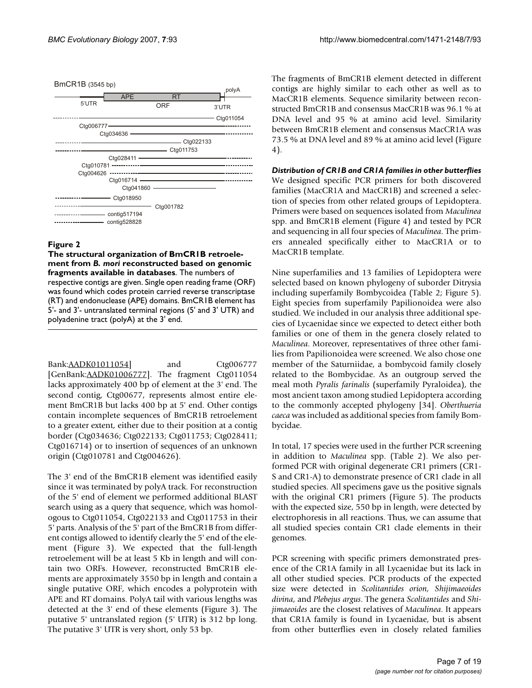

#### Figure 2

**The structural organization of BmCR1B retroelement from** *B. mori* **reconstructed based on genomic fragments available in databases**. The numbers of respective contigs are given. Single open reading frame (ORF) was found which codes protein carried reverse transcriptase (RT) and endonuclease (APE) domains. BmCR1B element has 5'- and 3'- untranslated terminal regions (5' and 3' UTR) and polyadenine tract (polyA) at the 3' end.

Bank:[AADK01011054](http://www.ncbi.nih.gov/entrez/query.fcgi?db=Nucleotide&cmd=search&term=AADK01011054)] and Ctg006777 [GenBank: [AADK01006777](http://www.ncbi.nih.gov/entrez/query.fcgi?db=Nucleotide&cmd=search&term=AADK01006777)]. The fragment Ctg011054 lacks approximately 400 bp of element at the 3' end. The second contig, Ctg00677, represents almost entire element BmCR1B but lacks 400 bp at 5' end. Other contigs contain incomplete sequences of BmCR1B retroelement to a greater extent, either due to their position at a contig border (Ctg034636; Ctg022133; Ctg011753; Ctg028411; Ctg016714) or to insertion of sequences of an unknown origin (Ctg010781 and Ctg004626).

The 3' end of the BmCR1B element was identified easily since it was terminated by polyA track. For reconstruction of the 5' end of element we performed additional BLAST search using as a query that sequence, which was homologous to Ctg011054, Ctg022133 and Ctg011753 in their 5' parts. Analysis of the 5' part of the BmCR1B from different contigs allowed to identify clearly the 5' end of the element (Figure 3). We expected that the full-length retroelement will be at least 5 Kb in length and will contain two ORFs. However, reconstructed BmCR1B elements are approximately 3550 bp in length and contain a single putative ORF, which encodes a polyprotein with APE and RT domains. PolyA tail with various lengths was detected at the 3' end of these elements (Figure 3). The putative 5' untranslated region (5' UTR) is 312 bp long. The putative 3' UTR is very short, only 53 bp.

The fragments of BmCR1B element detected in different contigs are highly similar to each other as well as to MacCR1B elements. Sequence similarity between reconstructed BmCR1B and consensus MacCR1B was 96.1 % at DNA level and 95 % at amino acid level. Similarity between BmCR1B element and consensus MacCR1A was 73.5 % at DNA level and 89 % at amino acid level (Figure 4).

*Distribution of CR1B and CR1A families in other butterflies* We designed specific PCR primers for both discovered families (MacCR1A and MacCR1B) and screened a selection of species from other related groups of Lepidoptera. Primers were based on sequences isolated from *Maculinea* spp. and BmCR1B element (Figure 4) and tested by PCR and sequencing in all four species of *Maculinea*. The primers annealed specifically either to MacCR1A or to MacCR1B template.

Nine superfamilies and 13 families of Lepidoptera were selected based on known phylogeny of suborder Ditrysia including superfamily Bombycoidea (Table 2; Figure 5). Eight species from superfamily Papilionoidea were also studied. We included in our analysis three additional species of Lycaenidae since we expected to detect either both families or one of them in the genera closely related to *Maculinea*. Moreover, representatives of three other families from Papilionoidea were screened. We also chose one member of the Saturniidae, a bombycoid family closely related to the Bombycidae. As an outgroup served the meal moth *Pyralis farinalis* (superfamily Pyraloidea), the most ancient taxon among studied Lepidoptera according to the commonly accepted phylogeny [34]. *Oberthueria caeca* was included as additional species from family Bombycidae.

In total, 17 species were used in the further PCR screening in addition to *Maculinea* spp. (Table 2). We also performed PCR with original degenerate CR1 primers (CR1- S and CR1-A) to demonstrate presence of CR1 clade in all studied species. All specimens gave us the positive signals with the original CR1 primers (Figure 5). The products with the expected size, 550 bp in length, were detected by electrophoresis in all reactions. Thus, we can assume that all studied species contain CR1 clade elements in their genomes.

PCR screening with specific primers demonstrated presence of the CR1A family in all Lycaenidae but its lack in all other studied species. PCR products of the expected size were detected in *Scolitantides orion, Shijimaeoides divina*, and *Plebejus argus*. The genera *Scolitantides* and *Shijimaeoides* are the closest relatives of *Maculinea*. It appears that CR1A family is found in Lycaenidae, but is absent from other butterflies even in closely related families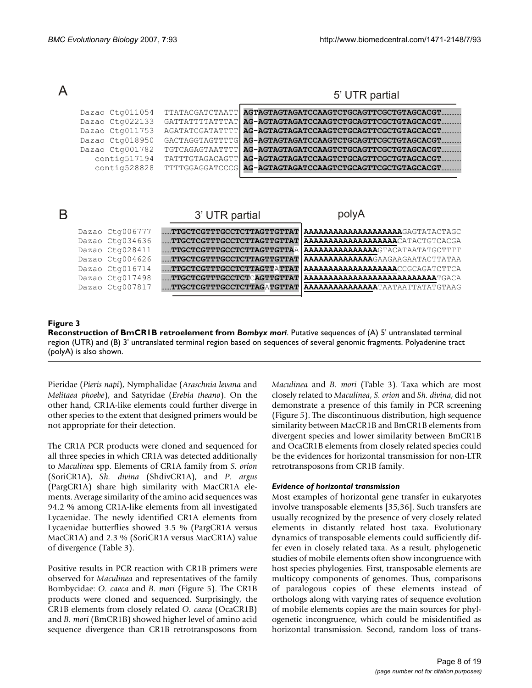|   |                                                                                                                                   |                                                                                                                                                                                                                                                    | 5' UTR partial                                                                                                                                                                                                                                                                                                        |
|---|-----------------------------------------------------------------------------------------------------------------------------------|----------------------------------------------------------------------------------------------------------------------------------------------------------------------------------------------------------------------------------------------------|-----------------------------------------------------------------------------------------------------------------------------------------------------------------------------------------------------------------------------------------------------------------------------------------------------------------------|
|   | Dazao Ctg011054<br>Dazao Ctg022133<br>Dazao Ctg011753<br>Dazao Ctg018950<br>Dazao Ctg001782<br>contiq517194<br>contig528828       | <b>TTATACGATCTAATT</b><br><b>GATTATTTTATTTAT</b><br><b>AGATATCGATATTTT</b><br>GACTAGGTAGTTTTG<br>TGTCAGAGTAATTTT<br><b>TATTTGTAGACAGTT</b><br>TTTTGGAGGATCCCG                                                                                      | AGTAGTAGTAGATCCAAGTCTGCAGTTCGCTGTAGCACGT.<br>AG-AGTAGTAGATCCAAGTCTGCAGTTCGCTGTAGCACGT<br>AG-AGTAGTAGATCCAAGTCTGCAGTTCGCTGTAGCACGT.<br>AG-AGTAGTAGATCCAAGTCTGCAGTTCGCTGTAGCACGT.<br>AG-AGTAGTAGATCCAAGTCTGCAGTTCGCTGTAGCACGT.<br>AG-AGTAGTAGATCCAAGTCTGCAGTTCGCTGTAGCACGT.<br>AG-AGTAGTAGATCCAAGTCTGCAGTTCGCTGTAGCACGT |
| R |                                                                                                                                   | 3' UTR partial                                                                                                                                                                                                                                     | polyA                                                                                                                                                                                                                                                                                                                 |
|   | Dazao Ctg006777<br>Dazao Ctg034636<br>Dazao Ctg028411<br>Dazao Ctg004626<br>Dazao Ctg016714<br>Dazao Ctg017498<br>Dazao Ctg007817 | TTGCTCGTTTGCCTCTTAGTTGTTAT  <br><b>TTGCTCGTTTGCCTCTTAGTTGTTAT</b><br>$\ldots$ . TTGCTCGTTTGCCTCTTAGTTGTTA $\lambda$<br>TTGCTCGTTTGCCTCTTAGTTGTTAT<br><b>TTGCTCGTTTGCCTCTTAGTTATTAT</b><br>TTGCTCGTTTGCCTCTCAGTTGTTAT<br>TTGCTCGTTTGCCTCTTAGATGTTAT | <b>AAAAAAAAAAAAAAAAAAAA</b> GAGTATACTAGC<br><b>AAAAAAAAAAAAAAAAAAA</b> CATACTGTCACGA<br><b>AAAAAAAAAAAAAAA</b> GTACATAATATGCTTTT<br><b>AAAAAAAAAAAAA</b> GAAGAAGAATACTTATAA<br>AAAAAAAAAAAAAAAAAAAACCGCAGATCTTCA<br><b>AAAAAAAAAAAAAAAAAAAAAAAAAAATGACA</b><br><b>AAAAAAAAAAAAAAA</b> TAATAATTATATGTAAG               |

#### **Figure 3**

**Reconstruction of BmCR1B retroelement from** *Bombyx mori*. Putative sequences of (A) 5' untranslated terminal region (UTR) and (B) 3' untranslated terminal region based on sequences of several genomic fragments. Polyadenine tract (polyA) is also shown.

Pieridae (*Pieris napi*), Nymphalidae (*Araschnia levana* and *Melitaea phoebe*), and Satyridae (*Erebia theano*). On the other hand, CR1A-like elements could further diverge in other species to the extent that designed primers would be not appropriate for their detection.

The CR1A PCR products were cloned and sequenced for all three species in which CR1A was detected additionally to *Maculinea* spp. Elements of CR1A family from *S. orion* (SoriCR1A), *Sh. divina* (ShdivCR1A), and *P. argus* (PargCR1A) share high similarity with MacCR1A elements. Average similarity of the amino acid sequences was 94.2 % among CR1A-like elements from all investigated Lycaenidae. The newly identified CR1A elements from Lycaenidae butterflies showed 3.5 % (PargCR1A versus MacCR1A) and 2.3 % (SoriCR1A versus MacCR1A) value of divergence (Table 3).

Positive results in PCR reaction with CR1B primers were observed for *Maculinea* and representatives of the family Bombycidae: *O. caeca* and *B. mori* (Figure 5). The CR1B products were cloned and sequenced. Surprisingly, the CR1B elements from closely related *O. caeca* (OcaCR1B) and *B. mori* (BmCR1B) showed higher level of amino acid sequence divergence than CR1B retrotransposons from

*Maculinea* and *B. mori* (Table 3). Taxa which are most closely related to *Maculinea*, *S. orion* and *Sh. divina*, did not demonstrate a presence of this family in PCR screening (Figure 5). The discontinuous distribution, high sequence similarity between MacCR1B and BmCR1B elements from divergent species and lower similarity between BmCR1B and OcaCR1B elements from closely related species could be the evidences for horizontal transmission for non-LTR retrotransposons from CR1B family.

#### *Evidence of horizontal transmission*

Most examples of horizontal gene transfer in eukaryotes involve transposable elements [35,36]. Such transfers are usually recognized by the presence of very closely related elements in distantly related host taxa. Evolutionary dynamics of transposable elements could sufficiently differ even in closely related taxa. As a result, phylogenetic studies of mobile elements often show incongruence with host species phylogenies. First, transposable elements are multicopy components of genomes. Thus, comparisons of paralogous copies of these elements instead of orthologs along with varying rates of sequence evolution of mobile elements copies are the main sources for phylogenetic incongruence, which could be misidentified as horizontal transmission. Second, random loss of trans-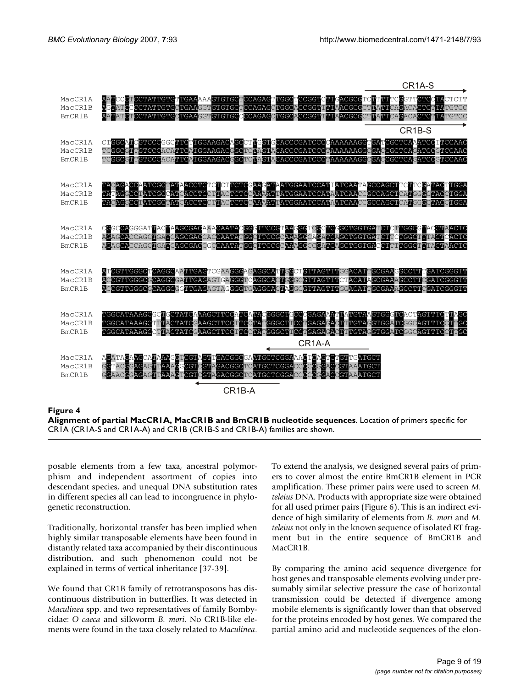

#### **Figure 4**

**Alignment of partial MacCR1A, MacCR1B and BmCR1B nucleotide sequences**. Location of primers specific for CR1A (CR1A-S and CR1A-A) and CR1B (CR1B-S and CR1B-A) families are shown.

posable elements from a few taxa, ancestral polymorphism and independent assortment of copies into descendant species, and unequal DNA substitution rates in different species all can lead to incongruence in phylogenetic reconstruction.

Traditionally, horizontal transfer has been implied when highly similar transposable elements have been found in distantly related taxa accompanied by their discontinuous distribution, and such phenomenon could not be explained in terms of vertical inheritance [\[37-](#page-17-1)39].

We found that CR1B family of retrotransposons has discontinuous distribution in butterflies. It was detected in *Maculinea* spp. and two representatives of family Bombycidae: *O caeca* and silkworm *B. mori*. No CR1B-like elements were found in the taxa closely related to *Maculinea*.

To extend the analysis, we designed several pairs of primers to cover almost the entire BmCR1B element in PCR amplification. These primer pairs were used to screen *M. teleius* DNA. Products with appropriate size were obtained for all used primer pairs (Figure 6). This is an indirect evidence of high similarity of elements from *B. mori* and *M. teleius* not only in the known sequence of isolated RT fragment but in the entire sequence of BmCR1B and MacCR1B.

By comparing the amino acid sequence divergence for host genes and transposable elements evolving under presumably similar selective pressure the case of horizontal transmission could be detected if divergence among mobile elements is significantly lower than that observed for the proteins encoded by host genes. We compared the partial amino acid and nucleotide sequences of the elon-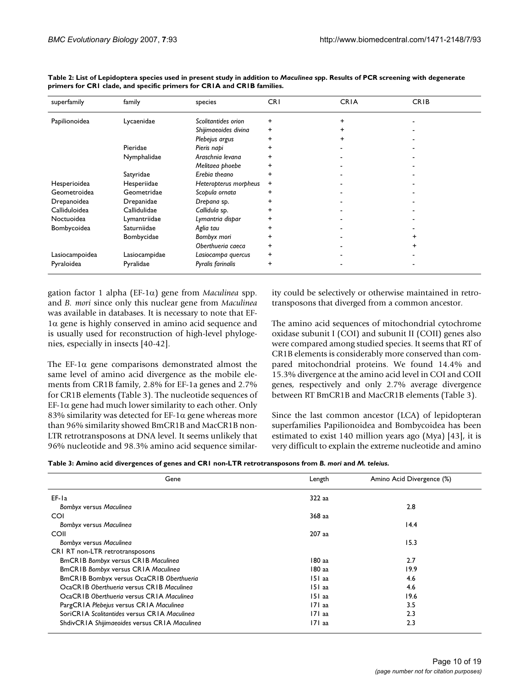| superfamily    | family        | species               | <b>CRI</b> | <b>CRIA</b> | <b>CRIB</b> |
|----------------|---------------|-----------------------|------------|-------------|-------------|
| Papilionoidea  | Lycaenidae    | Scolitantides orion   | +          | $\ddot{}$   |             |
|                |               | Shijimaeoides divina  | +          | ÷           |             |
|                |               | Plebejus argus        | +          | $\ddot{}$   |             |
|                | Pieridae      | Pieris napi           | +          |             |             |
|                | Nymphalidae   | Araschnia levana      |            |             |             |
|                |               | Melitaea phoebe       |            |             |             |
|                | Satyridae     | Erebia theano         |            |             |             |
| Hesperioidea   | Hesperiidae   | Heteropterus morpheus | +          |             |             |
| Geometroidea   | Geometridae   | Scopula ornata        | +          |             |             |
| Drepanoidea    | Drepanidae    | Drepana sp.           | +          |             |             |
| Calliduloidea  | Callidulidae  | Callidula sp.         | ٠          |             |             |
| Noctuoidea     | Lymantriidae  | Lymantria dispar      |            |             |             |
| Bombycoidea    | Saturniidae   | Aglia tau             |            |             |             |
|                | Bombycidae    | Bombyx mori           | +          |             |             |
|                |               | Oberthueria caeca     | +          |             |             |
| Lasiocampoidea | Lasiocampidae | Lasiocampa quercus    | +          |             |             |
| Pyraloidea     | Pyralidae     | Pyralis farinalis     | +          |             |             |

**Table 2: List of Lepidoptera species used in present study in addition to** *Maculinea* **spp. Results of PCR screening with degenerate primers for CR1 clade, and specific primers for CR1A and CR1B families.**

gation factor 1 alpha (EF-1α) gene from *Maculinea* spp. and *B. mori* since only this nuclear gene from *Maculinea* was available in databases. It is necessary to note that EF-1α gene is highly conserved in amino acid sequence and is usually used for reconstruction of high-level phylogenies, especially in insects [40-42].

The EF-1 $\alpha$  gene comparisons demonstrated almost the same level of amino acid divergence as the mobile elements from CR1B family, 2.8% for EF-1a genes and 2.7% for CR1B elements (Table 3). The nucleotide sequences of EF-1 $\alpha$  gene had much lower similarity to each other. Only 83% similarity was detected for EF-1 $\alpha$  gene whereas more than 96% similarity showed BmCR1B and MacCR1B non-LTR retrotransposons at DNA level. It seems unlikely that 96% nucleotide and 98.3% amino acid sequence similarity could be selectively or otherwise maintained in retrotransposons that diverged from a common ancestor.

The amino acid sequences of mitochondrial cytochrome oxidase subunit I (COI) and subunit II (COII) genes also were compared among studied species. It seems that RT of CR1B elements is considerably more conserved than compared mitochondrial proteins. We found 14.4% and 15.3% divergence at the amino acid level in COI and COII genes, respectively and only 2.7% average divergence between RT BmCR1B and MacCR1B elements (Table 3).

Since the last common ancestor (LCA) of lepidopteran superfamilies Papilionoidea and Bombycoidea has been estimated to exist 140 million years ago (Mya) [43], it is very difficult to explain the extreme nucleotide and amino

| Table 3: Amino acid divergences of genes and CRI non-LTR retrotransposons from B. mori and M. teleius. |  |  |  |
|--------------------------------------------------------------------------------------------------------|--|--|--|
|                                                                                                        |  |  |  |

| Gene                                          | Length   | Amino Acid Divergence (%) |
|-----------------------------------------------|----------|---------------------------|
| EF-la                                         | 322 aa   |                           |
| Bombyx versus Maculinea                       |          | 2.8                       |
| <b>COI</b>                                    | 368 aa   |                           |
| Bombyx versus Maculinea                       |          | 14.4                      |
| COII                                          | 207 aa   |                           |
| Bombyx versus Maculinea                       |          | 15.3                      |
| CRI RT non-LTR retrotransposons               |          |                           |
| <b>BmCRIB Bombyx versus CRIB Maculinea</b>    | 180 aa   | 2.7                       |
| <b>BmCRIB Bombyx versus CRIA Maculinea</b>    | 180 aa   | 19.9                      |
| BmCRIB Bombyx versus OcaCRIB Oberthueria      | $151$ aa | 4.6                       |
| OcaCRIB Oberthueria versus CRIB Maculinea     | 151 aa   | 4.6                       |
| OcaCRIB Oberthueria versus CRIA Maculinea     | 151 aa   | 19.6                      |
| PargCRIA Plebejus versus CRIA Maculinea       | 171 aa   | 3.5                       |
| SoriCRIA Scolitantides versus CRIA Maculinea  | 171 aa   | 2.3                       |
| ShdivCRIA Shijimaeoides versus CRIA Maculinea | 171 aa   | 2.3                       |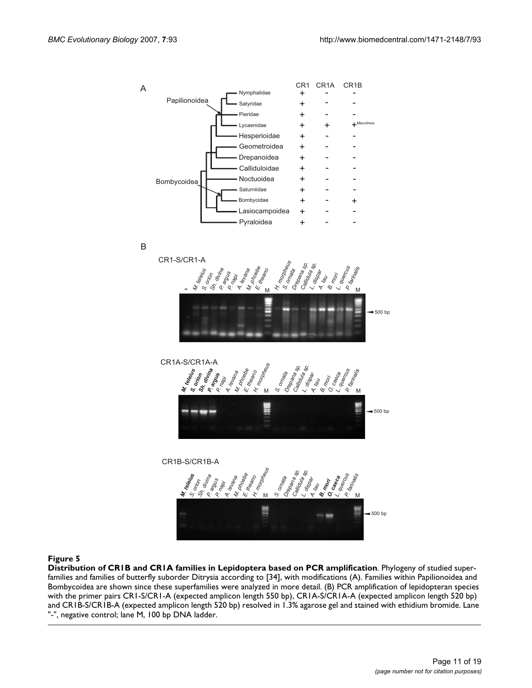

B

*M.*

*S.*



*S. ornata*

*B*

M M

*L.*

*O.*

*P.*

#### Figure 5

**Distribution of CR1B and CR1A families in Lepidoptera based on PCR amplification**. Phylogeny of studied superfamilies and families of butterfly suborder Ditrysia according to [34], with modifications (A). Families within Papilionoidea and Bombycoidea are shown since these superfamilies were analyzed in more detail. (B) PCR amplification of lepidopteran species with the primer pairs CR1-S/CR1-A (expected amplicon length 550 bp), CR1A-S/CR1A-A (expected amplicon length 520 bp) and CR1B-S/CR1B-A (expected amplicon length 520 bp) resolved in 1.3% agarose gel and stained with ethidium bromide. Lane "-", negative control; lane M, 100 bp DNA ladder.

 $• 500 bp$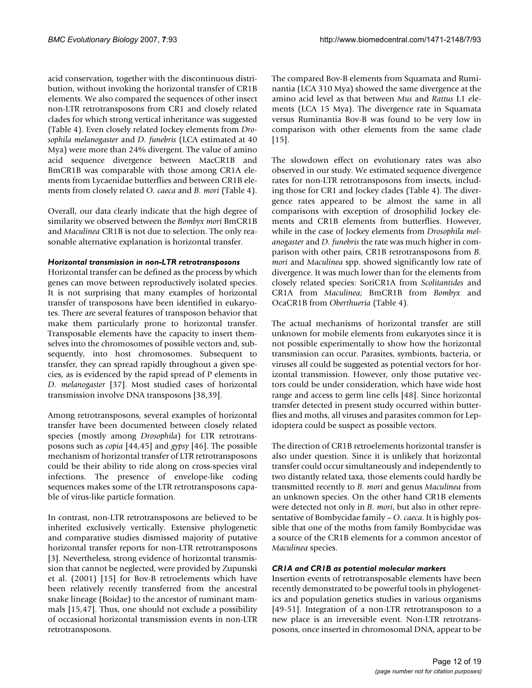acid conservation, together with the discontinuous distribution, without invoking the horizontal transfer of CR1B elements. We also compared the sequences of other insect non-LTR retrotransposons from CR1 and closely related clades for which strong vertical inheritance was suggested (Table 4). Even closely related Jockey elements from *Drosophila melanogaster* and *D. funebris* (LCA estimated at 40 Mya) were more than 24% divergent. The value of amino acid sequence divergence between MacCR1B and BmCR1B was comparable with those among CR1A elements from Lycaenidae butterflies and between CR1B elements from closely related *O. caeca* and *B. mori* (Table 4).

Overall, our data clearly indicate that the high degree of similarity we observed between the *Bombyx mori* BmCR1B and *Maculinea* CR1B is not due to selection. The only reasonable alternative explanation is horizontal transfer.

#### *Horizontal transmission in non-LTR retrotransposons*

Horizontal transfer can be defined as the process by which genes can move between reproductively isolated species. It is not surprising that many examples of horizontal transfer of transposons have been identified in eukaryotes. There are several features of transposon behavior that make them particularly prone to horizontal transfer. Transposable elements have the capacity to insert themselves into the chromosomes of possible vectors and, subsequently, into host chromosomes. Subsequent to transfer, they can spread rapidly throughout a given species, as is evidenced by the rapid spread of P elements in *D. melanogaster* [[37\]](#page-17-1). Most studied cases of horizontal transmission involve DNA transposons [38,39].

Among retrotransposons, several examples of horizontal transfer have been documented between closely related species (mostly among *Drosophila*) for LTR retrotransposons such as *copia* [[44,](#page-17-2)45] and *gypsy* [[46](#page-17-3)]. The possible mechanism of horizontal transfer of LTR retrotransposons could be their ability to ride along on cross-species viral infections. The presence of envelope-like coding sequences makes some of the LTR retrotransposons capable of virus-like particle formation.

In contrast, non-LTR retrotransposons are believed to be inherited exclusively vertically. Extensive phylogenetic and comparative studies dismissed majority of putative horizontal transfer reports for non-LTR retrotransposons [3]. Nevertheless, strong evidence of horizontal transmission that cannot be neglected, were provided by Zupunski et al. (2001) [15] for Bov-B retroelements which have been relatively recently transferred from the ancestral snake lineage (Boidae) to the ancestor of ruminant mammals [15,47]. Thus, one should not exclude a possibility of occasional horizontal transmission events in non-LTR retrotransposons.

The compared Bov-B elements from Squamata and Ruminantia (LCA 310 Mya) showed the same divergence at the amino acid level as that between *Mus* and *Rattus* L1 elements (LCA 15 Mya). The divergence rate in Squamata versus Ruminantia Bov-B was found to be very low in comparison with other elements from the same clade [15].

The slowdown effect on evolutionary rates was also observed in our study. We estimated sequence divergence rates for non-LTR retrotransposons from insects, including those for CR1 and Jockey clades (Table 4). The divergence rates appeared to be almost the same in all comparisons with exception of drosophilid Jockey elements and CR1B elements from butterflies. However, while in the case of Jockey elements from *Drosophila melanogaster* and *D. funebris* the rate was much higher in comparison with other pairs, CR1B retrotransposons from *B. mori* and *Maculinea* spp. showed significantly low rate of divergence. It was much lower than for the elements from closely related species: SoriCR1A from *Scolitantides* and CR1A from *Maculinea*; BmCR1B from *Bombyx* and OcaCR1B from *Oberthueria* (Table 4).

The actual mechanisms of horizontal transfer are still unknown for mobile elements from eukaryotes since it is not possible experimentally to show how the horizontal transmission can occur. Parasites, symbionts, bacteria, or viruses all could be suggested as potential vectors for horizontal transmission. However, only those putative vectors could be under consideration, which have wide host range and access to germ line cells [48]. Since horizontal transfer detected in present study occurred within butterflies and moths, all viruses and parasites common for Lepidoptera could be suspect as possible vectors.

The direction of CR1B retroelements horizontal transfer is also under question. Since it is unlikely that horizontal transfer could occur simultaneously and independently to two distantly related taxa, those elements could hardly be transmitted recently to *B. mori* and genus *Maculinea* from an unknown species. On the other hand CR1B elements were detected not only in *B. mori*, but also in other representative of Bombycidae family – *O. caeca*. It is highly possible that one of the moths from family Bombycidae was a source of the CR1B elements for a common ancestor of *Maculinea* species.

#### *CR1A and CR1B as potential molecular markers*

Insertion events of retrotransposable elements have been recently demonstrated to be powerful tools in phylogenetics and population genetics studies in various organisms [49-51]. Integration of a non-LTR retrotransposon to a new place is an irreversible event. Non-LTR retrotransposons, once inserted in chromosomal DNA, appear to be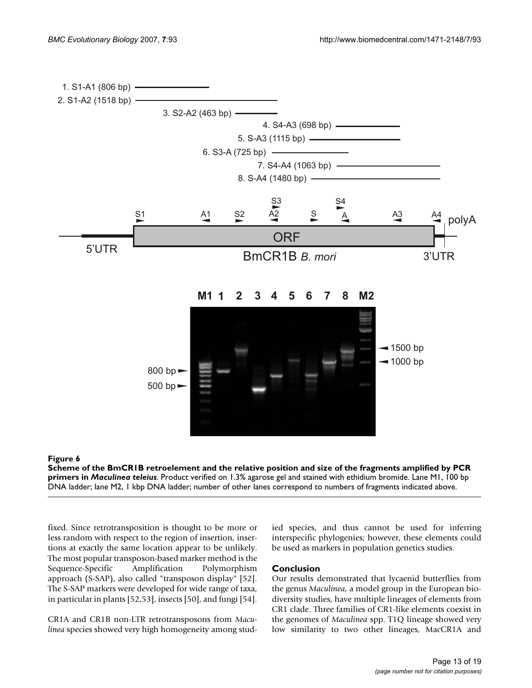

**Scheme of the BmCR1B retroelement and the relative position and size of the fragments amplified by PCR primers in** *Maculinea teleius*. Product verified on 1.3% agarose gel and stained with ethidium bromide. Lane M1, 100 bp DNA ladder; lane M2, 1 kbp DNA ladder; number of other lanes correspond to numbers of fragments indicated above.

fixed. Since retrotransposition is thought to be more or less random with respect to the region of insertion, insertions at exactly the same location appear to be unlikely. The most popular transposon-based marker method is the Sequence-Specific Amplification Polymorphism approach (S-SAP), also called "transposon display" [52]. The S-SAP markers were developed for wide range of taxa, in particular in plants [52,53], insects [50], and fungi [54].

CR1A and CR1B non-LTR retrotransposons from *Maculinea* species showed very high homogeneity among studied species, and thus cannot be used for inferring interspecific phylogenies; however, these elements could be used as markers in population genetics studies.

#### **Conclusion**

Our results demonstrated that lycaenid butterflies from the genus *Maculinea*, a model group in the European biodiversity studies, have multiple lineages of elements from CR1 clade. Three families of CR1-like elements coexist in the genomes of *Maculinea* spp. T1Q lineage showed very low similarity to two other lineages, MacCR1A and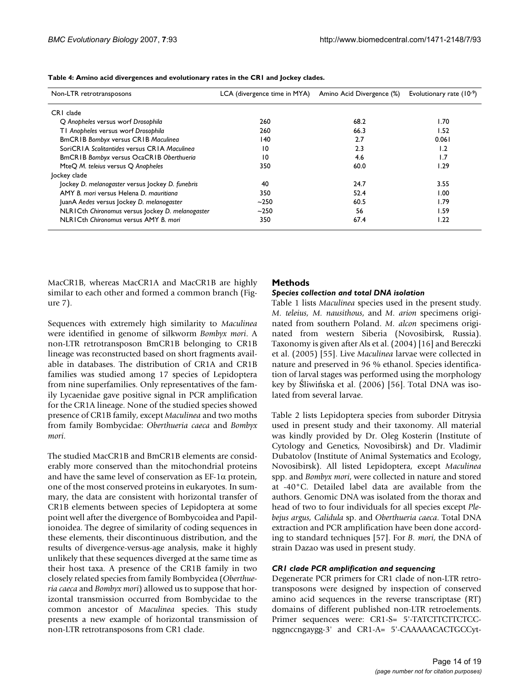| Non-LTR retrotransposons                         | LCA (divergence time in MYA) | Amino Acid Divergence (%) | Evolutionary rate $(10-9)$ |
|--------------------------------------------------|------------------------------|---------------------------|----------------------------|
| CRI clade                                        |                              |                           |                            |
| Q Anopheles versus worf Drosophila               | 260                          | 68.2                      | I.70                       |
| TI Anopheles versus worf Drosophila              | 260                          | 66.3                      | 1.52                       |
| <b>BmCRIB Bombyx versus CRIB Maculinea</b>       | 140                          | 2.7                       | 0.061                      |
| SoriCRIA Scolitantides versus CRIA Maculinea     | 10                           | 2.3                       | ۱.2                        |
| BmCRIB Bombyx versus OcaCRIB Oberthueria         | 10                           | 4.6                       | ۱.7                        |
| MteQ M. teleius versus Q Anopheles               | 350                          | 60.0                      | 1.29                       |
| Jockey clade                                     |                              |                           |                            |
| Jockey D. melanogaster versus Jockey D. funebris | 40                           | 24.7                      | 3.55                       |
| AMY B. mori versus Helena D. mauritiana          | 350                          | 52.4                      | 1.00                       |
| JuanA Aedes versus Jockey D. melanogaster        | $~1$ -250                    | 60.5                      | 1.79                       |
| NLRICth Chironomus versus Jockey D. melanogaster | $~1$ -250                    | 56                        | 1.59                       |
| NI RICth Chironomus versus AMY B. mori           | 350                          | 67.4                      | 1.22                       |

**Table 4: Amino acid divergences and evolutionary rates in the CR1 and Jockey clades.**

MacCR1B, whereas MacCR1A and MacCR1B are highly similar to each other and formed a common branch (Figure 7).

Sequences with extremely high similarity to *Maculinea* were identified in genome of silkworm *Bombyx mori*. A non-LTR retrotransposon BmCR1B belonging to CR1B lineage was reconstructed based on short fragments available in databases. The distribution of CR1A and CR1B families was studied among 17 species of Lepidoptera from nine superfamilies. Only representatives of the family Lycaenidae gave positive signal in PCR amplification for the CR1A lineage. None of the studied species showed presence of CR1B family, except *Maculinea* and two moths from family Bombycidae: *Oberthueria caeca* and *Bombyx mori*.

The studied MacCR1B and BmCR1B elements are considerably more conserved than the mitochondrial proteins and have the same level of conservation as  $EF-1\alpha$  protein, one of the most conserved proteins in eukaryotes. In summary, the data are consistent with horizontal transfer of CR1B elements between species of Lepidoptera at some point well after the divergence of Bombycoidea and Papilionoidea. The degree of similarity of coding sequences in these elements, their discontinuous distribution, and the results of divergence-versus-age analysis, make it highly unlikely that these sequences diverged at the same time as their host taxa. A presence of the CR1B family in two closely related species from family Bombycidea (*Oberthueria caeca* and *Bombyx mori*) allowed us to suppose that horizontal transmission occurred from Bombycidae to the common ancestor of *Maculinea* species. This study presents a new example of horizontal transmission of non-LTR retrotransposons from CR1 clade.

### **Methods**

#### *Species collection and total DNA isolation*

Table 1 lists *Maculinea* species used in the present study. *M. teleius, M. nausithous*, and *M. arion* specimens originated from southern Poland. *M. alcon* specimens originated from western Siberia (Novosibirsk, Russia). Taxonomy is given after Als et al. (2004) [16] and Bereczki et al. (2005) [55]. Live *Maculinea* larvae were collected in nature and preserved in 96 % ethanol. Species identification of larval stages was performed using the morphology key by Śliwińska et al. (2006) [56]. Total DNA was isolated from several larvae.

Table 2 lists Lepidoptera species from suborder Ditrysia used in present study and their taxonomy. All material was kindly provided by Dr. Oleg Kosterin (Institute of Cytology and Genetics, Novosibirsk) and Dr. Vladimir Dubatolov (Institute of Animal Systematics and Ecology, Novosibirsk). All listed Lepidoptera, except *Maculinea* spp. and *Bombyx mori*, were collected in nature and stored at -40°C. Detailed label data are available from the authors. Genomic DNA was isolated from the thorax and head of two to four individuals for all species except *Plebejus argus, Calidula* sp. and *Oberthueria caeca*. Total DNA extraction and PCR amplification have been done according to standard techniques [57]. For *B. mori*, the DNA of strain Dazao was used in present study.

#### *CR1 clade PCR amplification and sequencing*

Degenerate PCR primers for CR1 clade of non-LTR retrotransposons were designed by inspection of conserved amino acid sequences in the reverse transcriptase (RT) domains of different published non-LTR retroelements. Primer sequences were: CR1-S= 5'-TATCTTCTTCTCCnggnccngaygg-3' and CR1-A= 5'-CAAAAACACTGCCyt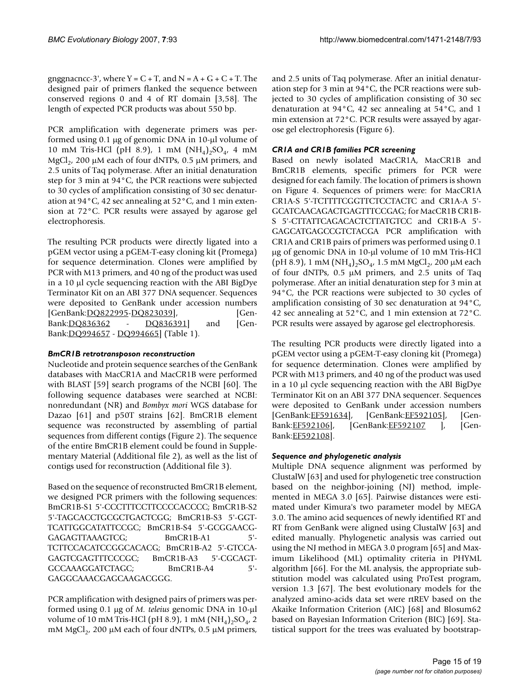gnggnacncc-3', where  $Y = C + T$ , and  $N = A + G + C + T$ . The designed pair of primers flanked the sequence between conserved regions 0 and 4 of RT domain [3,58]. The length of expected PCR products was about 550 bp.

PCR amplification with degenerate primers was performed using 0.1 μg of genomic DNA in 10-μl volume of 10 mM Tris-HCl (pH 8.9), 1 mM  $(NH_4)_2SO_4$ , 4 mM MgCl<sub>2</sub>, 200 μM each of four dNTPs, 0.5 μM primers, and 2.5 units of Taq polymerase. After an initial denaturation step for 3 min at 94°C, the PCR reactions were subjected to 30 cycles of amplification consisting of 30 sec denaturation at 94°C, 42 sec annealing at 52°C, and 1 min extension at 72°C. PCR results were assayed by agarose gel electrophoresis.

The resulting PCR products were directly ligated into a pGEM vector using a pGEM-T-easy cloning kit (Promega) for sequence determination. Clones were amplified by PCR with M13 primers, and 40 ng of the product was used in a 10 μl cycle sequencing reaction with the ABI BigDye Terminator Kit on an ABI 377 DNA sequencer. Sequences were deposited to GenBank under accession numbers [GenBank:[DQ822995-](http://www.ncbi.nih.gov/entrez/query.fcgi?db=Nucleotide&cmd=search&term=DQ822995)[DQ823039\]](http://www.ncbi.nih.gov/entrez/query.fcgi?db=Nucleotide&cmd=search&term=DQ823039), [Gen-Bank:[DQ836362](http://www.ncbi.nih.gov/entrez/query.fcgi?db=Nucleotide&cmd=search&term=DQ836362) - [DQ836391](http://www.ncbi.nih.gov/entrez/query.fcgi?db=Nucleotide&cmd=search&term=DQ836391)] and [Gen-Bank:[DQ994657](http://www.ncbi.nih.gov/entrez/query.fcgi?db=Nucleotide&cmd=search&term=DQ994657) - [DQ994665](http://www.ncbi.nih.gov/entrez/query.fcgi?db=Nucleotide&cmd=search&term=DQ994665)] (Table 1).

# *BmCR1B retrotransposon reconstruction*

Nucleotide and protein sequence searches of the GenBank databases with MacCR1A and MacCR1B were performed with BLAST [59] search programs of the NCBI [60]. The following sequence databases were searched at NCBI: nonredundant (NR) and *Bombyx mori* WGS database for Dazao [61] and p50T strains [62]. BmCR1B element sequence was reconstructed by assembling of partial sequences from different contigs (Figure 2). The sequence of the entire BmCR1B element could be found in Supplementary Material (Additional file 2), as well as the list of contigs used for reconstruction (Additional file 3).

Based on the sequence of reconstructed BmCR1B element, we designed PCR primers with the following sequences: BmCR1B-S1 5'-CCCTTTCCTTCCCCACCCC; BmCR1B-S2 5'-TAGCACCTGCGCTGACTCGG; BmCR1B-S3 5'-GGT-TCATTGGCATATTCCGC; BmCR1B-S4 5'-GCGGAACG-GAGAGTTAAAGTCG; BmCR1B-A1 5'- TCTTCCACATCCGGCACACG; BmCR1B-A2 5'-GTCCA-GAGTCGAGTTTCCCGC; BmCR1B-A3 5'-CGCAGT-GCCAAAGGATCTAGC; BmCR1B-A4 5'- GAGGCAAACGAGCAAGACGGG.

PCR amplification with designed pairs of primers was performed using 0.1 μg of *M. teleius* genomic DNA in 10-μl volume of 10 mM Tris-HCl (pH 8.9), 1 mM  $(NH_4)_2SO_4$ , 2 mM MgCl<sub>2</sub>, 200 μM each of four dNTPs, 0.5 μM primers,

and 2.5 units of Taq polymerase. After an initial denaturation step for 3 min at 94°C, the PCR reactions were subjected to 30 cycles of amplification consisting of 30 sec denaturation at 94°C, 42 sec annealing at 54°C, and 1 min extension at 72°C. PCR results were assayed by agarose gel electrophoresis (Figure 6).

# *CR1A and CR1B families PCR screening*

Based on newly isolated MacCR1A, MacCR1B and BmCR1B elements, specific primers for PCR were designed for each family. The location of primers is shown on Figure 4. Sequences of primers were: for MacCR1A CR1A-S 5'-TCTTTTCGGTTCTCCTACTC and CR1A-A 5'- GCATCAACAGACTGAGTTTCCGAG; for MacCR1B CR1B-S 5'-CTTATTCAGACACTCTTATGTCC and CR1B-A 5'- GAGCATGAGCCGTCTACGA PCR amplification with CR1A and CR1B pairs of primers was performed using 0.1 μg of genomic DNA in 10-μl volume of 10 mM Tris-HCl (pH 8.9), 1 mM (NH<sub>4</sub>)<sub>2</sub>SO<sub>4</sub>, 1.5 mM MgCl<sub>2</sub>, 200  $\mu$ M each of four dNTPs, 0.5 μM primers, and 2.5 units of Taq polymerase. After an initial denaturation step for 3 min at 94°C, the PCR reactions were subjected to 30 cycles of amplification consisting of 30 sec denaturation at 94°C, 42 sec annealing at 52°C, and 1 min extension at 72°C. PCR results were assayed by agarose gel electrophoresis.

The resulting PCR products were directly ligated into a pGEM vector using a pGEM-T-easy cloning kit (Promega) for sequence determination. Clones were amplified by PCR with M13 primers, and 40 ng of the product was used in a 10 μl cycle sequencing reaction with the ABI BigDye Terminator Kit on an ABI 377 DNA sequencer. Sequences were deposited to GenBank under accession numbers [GenBank:[EF591634\]](http://www.ncbi.nih.gov/entrez/query.fcgi?db=Nucleotide&cmd=search&term=EF591634), [GenBank[:EF592105](http://www.ncbi.nih.gov/entrez/query.fcgi?db=Nucleotide&cmd=search&term=EF592105)], [Gen-Bank: [EF592106\]](http://www.ncbi.nih.gov/entrez/query.fcgi?db=Nucleotide&cmd=search&term=EF592106), [GenBank: EF592107 ], [Gen-Bank:[EF592108\]](http://www.ncbi.nih.gov/entrez/query.fcgi?db=Nucleotide&cmd=search&term=EF592108).

# *Sequence and phylogenetic analysis*

Multiple DNA sequence alignment was performed by ClustalW [63] and used for phylogenetic tree construction based on the neighbor-joining (NJ) method, implemented in MEGA 3.0 [65]. Pairwise distances were estimated under Kimura's two parameter model by MEGA 3.0. The amino acid sequences of newly identified RT and RT from GenBank were aligned using ClustalW [63] and edited manually. Phylogenetic analysis was carried out using the NJ method in MEGA 3.0 program [65] and Maximum Likelihood (ML) optimality criteria in PHYML algorithm [66]. For the ML analysis, the appropriate substitution model was calculated using ProTest program, version 1.3 [67]. The best evolutionary models for the analyzed amino-acids data set were rtREV based on the Akaike Information Criterion (AIC) [68] and Blosum62 based on Bayesian Information Criterion (BIC) [69]. Statistical support for the trees was evaluated by bootstrap-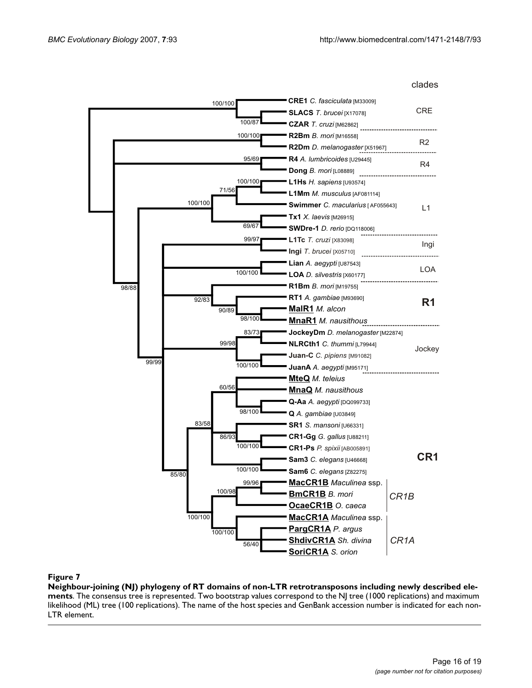

**Neighbour-joining (NJ) phylogeny of RT domains of non-LTR retrotransposons including newly described elements**. The consensus tree is represented. Two bootstrap values correspond to the NJ tree (1000 replications) and maximum likelihood (ML) tree (100 replications). The name of the host species and GenBank accession number is indicated for each non-LTR element.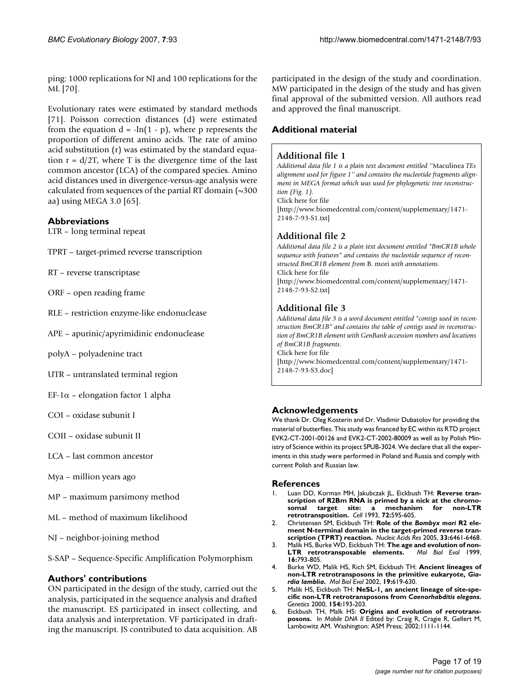ping: 1000 replications for NJ and 100 replications for the ML [70].

Evolutionary rates were estimated by standard methods [71]. Poisson correction distances (d) were estimated from the equation  $d = -\ln(1 - p)$ , where p represents the proportion of different amino acids. The rate of amino acid substitution (r) was estimated by the standard equation  $r = d/2T$ , where T is the divergence time of the last common ancestor (LCA) of the compared species. Amino acid distances used in divergence-versus-age analysis were calculated from sequences of the partial RT domain  $(\sim 300$ aa) using MEGA 3.0 [65].

### **Abbreviations**

- LTR long terminal repeat
- TPRT target-primed reverse transcription
- RT reverse transcriptase
- ORF open reading frame
- RLE restriction enzyme-like endonuclease
- APE apurinic/apyrimidinic endonuclease
- polyA polyadenine tract
- UTR untranslated terminal region
- EF-1α elongation factor 1 alpha
- COI oxidase subunit I
- COII oxidase subunit II
- LCA last common ancestor
- Mya million years ago
- MP maximum parsimony method
- ML method of maximum likelihood
- NJ neighbor-joining method

S-SAP – Sequence-Specific Amplification Polymorphism

#### **Authors' contributions**

ON participated in the design of the study, carried out the analysis, participated in the sequence analysis and drafted the manuscript. ES participated in insect collecting, and data analysis and interpretation. VF participated in drafting the manuscript. JS contributed to data acquisition. AB participated in the design of the study and coordination. MW participated in the design of the study and has given final approval of the submitted version. All authors read and approved the final manuscript.

### **Additional material**

#### **Additional file 1**

*Additional data file 1 is a plain text document entitled ''*Maculinea *TEs alignment used for figure 1'' and contains the nucleotide fragments alignment in MEGA format which was used for phylogenetic tree reconstruction (Fig. 1).*

Click here for file

[\[http://www.biomedcentral.com/content/supplementary/1471-](http://www.biomedcentral.com/content/supplementary/1471-2148-7-93-S1.txt) 2148-7-93-S1.txt]

### **Additional file 2**

*Additional data file 2 is a plain text document entitled "BmCR1B whole sequence with features" and contains the nucleotide sequence of reconstructed BmCR1B element from* B. mori *with annotations.* Click here for file [\[http://www.biomedcentral.com/content/supplementary/1471-](http://www.biomedcentral.com/content/supplementary/1471-2148-7-93-S2.txt) 2148-7-93-S2.txt]

# **Additional file 3**

*Additional data file 3 is a word document entitled "contigs used in reconstruction BmCR1B" and contains the table of contigs used in reconstruction of BmCR1B element with GenBank accession numbers and locations of BmCR1B fragments.* Click here for file [\[http://www.biomedcentral.com/content/supplementary/1471-](http://www.biomedcentral.com/content/supplementary/1471-2148-7-93-S3.doc) 2148-7-93-S3.doc]

# **Acknowledgements**

We thank Dr. Oleg Kosterin and Dr. Vladimir Dubatolov for providing the material of butterflies. This study was financed by EC within its RTD project EVK2-CT-2001-00126 and EVK2-CT-2002-80009 as well as by Polish Ministry of Science within its project SPUB-3024. We declare that all the experiments in this study were performed in Poland and Russia and comply with current Polish and Russian law.

#### **References**

- Luan DD, Korman MH, Jakubczak JL, Eickbush TH: [Reverse tran](http://www.ncbi.nlm.nih.gov/entrez/query.fcgi?cmd=Retrieve&db=PubMed&dopt=Abstract&list_uids=7679954)**[scription of R2Bm RNA is primed by a nick at the chromo](http://www.ncbi.nlm.nih.gov/entrez/query.fcgi?cmd=Retrieve&db=PubMed&dopt=Abstract&list_uids=7679954)**somal target site: a mechanism **[retrotransposition.](http://www.ncbi.nlm.nih.gov/entrez/query.fcgi?cmd=Retrieve&db=PubMed&dopt=Abstract&list_uids=7679954)** *Cell* 1993, **72:**595-605.
- 2. Christensen SM, Eickbush TH: **Role of the** *Bombyx mori* **[R2 ele](http://www.ncbi.nlm.nih.gov/entrez/query.fcgi?cmd=Retrieve&db=PubMed&dopt=Abstract&list_uids=16284201)[ment N-terminal domain in the target-primed reverse tran](http://www.ncbi.nlm.nih.gov/entrez/query.fcgi?cmd=Retrieve&db=PubMed&dopt=Abstract&list_uids=16284201)[scription \(TPRT\) reaction.](http://www.ncbi.nlm.nih.gov/entrez/query.fcgi?cmd=Retrieve&db=PubMed&dopt=Abstract&list_uids=16284201)** *Nucleic Acids Res* 2005, **33:**6461-6468.
- 3. Malik HS, Burke WD, Eickbush TH: **[The age and evolution of non-](http://www.ncbi.nlm.nih.gov/entrez/query.fcgi?cmd=Retrieve&db=PubMed&dopt=Abstract&list_uids=10368957)**[LTR retrotransposable elements.](http://www.ncbi.nlm.nih.gov/entrez/query.fcgi?cmd=Retrieve&db=PubMed&dopt=Abstract&list_uids=10368957) **16:**793-805.
- 4. Burke WD, Malik HS, Rich SM, Eickbush TH: **Ancient lineages of non-LTR retrotransposons in the primitive eukaryote,** *Giardia lamblia***[.](http://www.ncbi.nlm.nih.gov/entrez/query.fcgi?cmd=Retrieve&db=PubMed&dopt=Abstract&list_uids=11961096)** *Mol Biol Evol* 2002, **19:**619-630.
- 5. Malik HS, Eickbush TH: **NeSL-1, an ancient lineage of site-specific non-LTR retrotransposons from** *Caenorhabditis elegans***[.](http://www.ncbi.nlm.nih.gov/entrez/query.fcgi?cmd=Retrieve&db=PubMed&dopt=Abstract&list_uids=10628980)** *Genetics* 2000, **154:**193-203.
- 6. Eickbush TH, Malk HS: **Origins and evolution of retrotransposons.** In *Mobile DNA II* Edited by: Craig R, Cragie R, Gellert M, Lambowitz AM. Washington: ASM Press; 2002:1111-1144.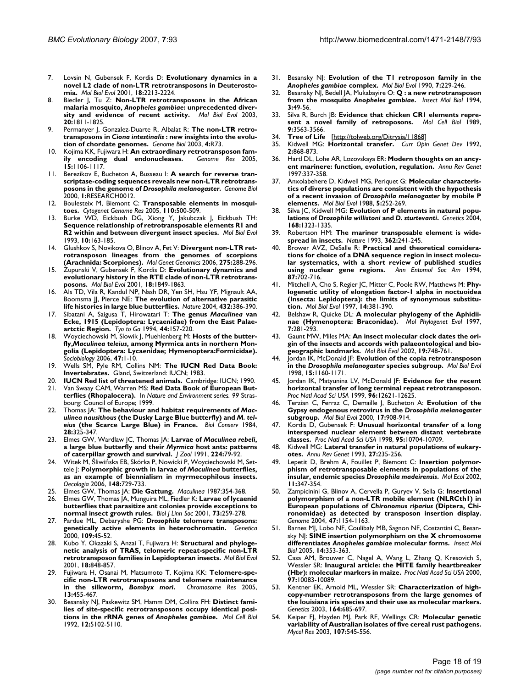- 7. Lovsin N, Gubensek F, Kordis D: **[Evolutionary dynamics in a](http://www.ncbi.nlm.nih.gov/entrez/query.fcgi?cmd=Retrieve&db=PubMed&dopt=Abstract&list_uids=11719571) [novel L2 clade of non-LTR retrotransposons in Deuterosto](http://www.ncbi.nlm.nih.gov/entrez/query.fcgi?cmd=Retrieve&db=PubMed&dopt=Abstract&list_uids=11719571)[mia.](http://www.ncbi.nlm.nih.gov/entrez/query.fcgi?cmd=Retrieve&db=PubMed&dopt=Abstract&list_uids=11719571)** *Mol Biol Evol* 2001, **18:**2213-2224.
- 8. Biedler J, Tu Z: **Non-LTR retrotransposons in the African malaria mosquito,** *Anopheles gambiae***[: unprecedented diver](http://www.ncbi.nlm.nih.gov/entrez/query.fcgi?cmd=Retrieve&db=PubMed&dopt=Abstract&list_uids=12832632)[sity and evidence of recent activity.](http://www.ncbi.nlm.nih.gov/entrez/query.fcgi?cmd=Retrieve&db=PubMed&dopt=Abstract&list_uids=12832632)** *Mol Biol Evol* 2003, **20:**1811-1825.
- Permanyer J, Gonzalez-Duarte R, Albalat R: The non-LTR retro**transposons in** *Ciona intestinalis* **[: new insights into the evolu](http://www.ncbi.nlm.nih.gov/entrez/query.fcgi?cmd=Retrieve&db=PubMed&dopt=Abstract&list_uids=14611659)[tion of chordate genomes.](http://www.ncbi.nlm.nih.gov/entrez/query.fcgi?cmd=Retrieve&db=PubMed&dopt=Abstract&list_uids=14611659)** *Genome Biol* 2003, **4:**R73.
- 10. Kojima KK, Fujiwara H: **[An extraordinary retrotransposon fam](http://www.ncbi.nlm.nih.gov/entrez/query.fcgi?cmd=Retrieve&db=PubMed&dopt=Abstract&list_uids=16077010)[ily encoding dual endonucleases.](http://www.ncbi.nlm.nih.gov/entrez/query.fcgi?cmd=Retrieve&db=PubMed&dopt=Abstract&list_uids=16077010)** *Genome Res* 2005, **15:**1106-1117.
- 11. Berezikov E, Bucheton A, Busseau I: **A search for reverse transcriptase-coding sequences reveals new non-LTR retrotransposons in the genome of** *Drosophila melanogaster***[.](http://www.ncbi.nlm.nih.gov/entrez/query.fcgi?cmd=Retrieve&db=PubMed&dopt=Abstract&list_uids=11178266)** *Genome Biol* 2000, **1:**RESEARCH0012.
- 12. Boulesteix M, Biemont C: **[Transposable elements in mosqui](http://www.ncbi.nlm.nih.gov/entrez/query.fcgi?cmd=Retrieve&db=PubMed&dopt=Abstract&list_uids=16093703)[toes.](http://www.ncbi.nlm.nih.gov/entrez/query.fcgi?cmd=Retrieve&db=PubMed&dopt=Abstract&list_uids=16093703)** *Cytogenet Genome Res* 2005, **110:**500-509.
- 13. Burke WD, Eickbush DG, Xiong Y, Jakubczak J, Eickbush TH: **[Sequence relationship of retrotransposable elements R1 and](http://www.ncbi.nlm.nih.gov/entrez/query.fcgi?cmd=Retrieve&db=PubMed&dopt=Abstract&list_uids=8383793) [R2 within and between divergent insect species.](http://www.ncbi.nlm.nih.gov/entrez/query.fcgi?cmd=Retrieve&db=PubMed&dopt=Abstract&list_uids=8383793)** *Mol Biol Evol* 1993, **10:**163-185.
- 14. Glushkov S, Novikova O, Blinov A, Fet V: **[Divergent non-LTR ret](http://www.ncbi.nlm.nih.gov/entrez/query.fcgi?cmd=Retrieve&db=PubMed&dopt=Abstract&list_uids=16328371)[rotransposon lineages from the genomes of scorpions](http://www.ncbi.nlm.nih.gov/entrez/query.fcgi?cmd=Retrieve&db=PubMed&dopt=Abstract&list_uids=16328371) [\(Arachnida: Scorpiones\).](http://www.ncbi.nlm.nih.gov/entrez/query.fcgi?cmd=Retrieve&db=PubMed&dopt=Abstract&list_uids=16328371)** *Mol Genet Genomics* 2006, **275:**288-296.
- 15. Zupunski V, Gubensek F, Kordis D: **[Evolutionary dynamics and](http://www.ncbi.nlm.nih.gov/entrez/query.fcgi?cmd=Retrieve&db=PubMed&dopt=Abstract&list_uids=11557792) [evolutionary history in the RTE clade of non-LTR retrotrans](http://www.ncbi.nlm.nih.gov/entrez/query.fcgi?cmd=Retrieve&db=PubMed&dopt=Abstract&list_uids=11557792)[posons.](http://www.ncbi.nlm.nih.gov/entrez/query.fcgi?cmd=Retrieve&db=PubMed&dopt=Abstract&list_uids=11557792)** *Mol Biol Evol* 2001, **18:**1849-1863.
- 16. Als TD, Vila R, Kandul NP, Nash DR, Yen SH, Hsu YF, Mignault AA, Boomsma JJ, Pierce NE: **[The evolution of alternative parasitic](http://www.ncbi.nlm.nih.gov/entrez/query.fcgi?cmd=Retrieve&db=PubMed&dopt=Abstract&list_uids=15549104) [life histories in large blue butterflies.](http://www.ncbi.nlm.nih.gov/entrez/query.fcgi?cmd=Retrieve&db=PubMed&dopt=Abstract&list_uids=15549104)** *Nature* 2004, **432:**386-390.
- 17. Sibatani A, Saigusa T, Hirowatari T: **The genus** *Maculinea* **van Ecke, 1915 (Lepidoptera: Lycaenidae) from the East Palaeartctic Region.** *Tyo to Ga* 1994, **44:**157-220.
- 18. Woyciechowski M, Slowik J, Muehlenberg M: **Hosts of the butterfly,***Maculinea teleius***, among Myrmica ants in northern Mongolia (Lepidoptera: Lycaenidae; Hymenoptera:Formicidae).** *Sociobiology* 2006, **47:**1-10.
- 19. Wells SM, Pyle RM, Collins NM: **The IUCN Red Data Book: Invertebrates.** Gland, Switzerland: IUCN; 1983.
- 20. **IUCN Red list of threatened animals.** Cambridge: IUCN; 1990.
- 21. Van Swaay CAM, Warren MS: **Red Data Book of European Butterflies (Rhopalocera).** In *Nature and Environment series. 99* Strasbourg: Council of Europe; 1999.
- 22. Thomas JA: **The behaviour and habitat requirements of** *Maculinea nausithous* **(the Dusky Large Blue butterfly) and** *M. teleius* **(the Scarce Large Blue) in France.** *Biol Conserv* 1984, **28:**325-347.
- 23. Elmes GW, Wardlaw JC, Thomas JA: **Larvae of** *Maculinea rebeli***, a large blue butterfly and their** *Myrmica* **host ants: patterns of caterpillar growth and survival.** *J Zool* 1991, **224:**79-92.
- 24. Witek M, Śliwińska EB, Skórka P, Nowicki P, Woyciechowski M, Settele J: **Polymorphic growth in larvae of** *Maculinea* **[butterflies,](http://www.ncbi.nlm.nih.gov/entrez/query.fcgi?cmd=Retrieve&db=PubMed&dopt=Abstract&list_uids=16547733) [as an example of biennialism in myrmecophilous insects.](http://www.ncbi.nlm.nih.gov/entrez/query.fcgi?cmd=Retrieve&db=PubMed&dopt=Abstract&list_uids=16547733)** *Oecologia* 2006, **148:**729-733.
- 25. Elmes GW, Thomas JA: **Die Gattung.** *Maculinea* 1987:354-368.
- 26. Elmes GW, Thomas JA, Munguira ML, Fiedler K: **Larvae of lycaenid butterflies that parasitize ant colonies provide exceptions to normal insect growth rules.** *Biol J Linn Soc* 2001, **73:**259-278.
- 27. Pardue ML, Debaryshe PG: *Drosophila* **[telomere transposons:](http://www.ncbi.nlm.nih.gov/entrez/query.fcgi?cmd=Retrieve&db=PubMed&dopt=Abstract&list_uids=11293794) [genetically active elements in heterochromatin.](http://www.ncbi.nlm.nih.gov/entrez/query.fcgi?cmd=Retrieve&db=PubMed&dopt=Abstract&list_uids=11293794)** *Genetica* 2000, **109:**45-52.
- 28. Kubo Y, Okazaki S, Anzai T, Fujiwara H: **[Structural and phyloge](http://www.ncbi.nlm.nih.gov/entrez/query.fcgi?cmd=Retrieve&db=PubMed&dopt=Abstract&list_uids=11319268)[netic analysis of TRAS, telomeric repeat-specific non-LTR](http://www.ncbi.nlm.nih.gov/entrez/query.fcgi?cmd=Retrieve&db=PubMed&dopt=Abstract&list_uids=11319268) [retrotransposon families in Lepidopteran insects.](http://www.ncbi.nlm.nih.gov/entrez/query.fcgi?cmd=Retrieve&db=PubMed&dopt=Abstract&list_uids=11319268)** *Mol Biol Evol* 2001, **18:**848-857.
- 29. Fujiwara H, Osanai M, Matsumoto T, Kojima KK: **Telomere-specific non-LTR retrotransposons and telomere maintenance in the silkworm,** *Bombyx mori***[.](http://www.ncbi.nlm.nih.gov/entrez/query.fcgi?cmd=Retrieve&db=PubMed&dopt=Abstract&list_uids=16132811)** *Chromosome Res* 2005, **13:**455-467.
- 30. Besansky NJ, Paskewitz SM, Hamm DM, Collins FH: **Distinct families of site-specific retrotransposons occupy identical positions in the rRNA genes of** *Anopheles gambiae***[.](http://www.ncbi.nlm.nih.gov/entrez/query.fcgi?cmd=Retrieve&db=PubMed&dopt=Abstract&list_uids=1328871)** *Mol Cell Biol* 1992, **12:**5102-5110.
- <span id="page-17-0"></span>31. Besansky NJ: **Evolution of the T1 retroposon family in the** *Anopheles gambiae* **[complex.](http://www.ncbi.nlm.nih.gov/entrez/query.fcgi?cmd=Retrieve&db=PubMed&dopt=Abstract&list_uids=2163010)** *Mol Biol Evol* 1990, **7:**229-246.
- 32. Besansky NJ, Bedell JA, Mukabayire O: **Q : a new retrotransposon from the mosquito** *Anopheles gambiae***[.](http://www.ncbi.nlm.nih.gov/entrez/query.fcgi?cmd=Retrieve&db=PubMed&dopt=Abstract&list_uids=8069416)** *Insect Mol Biol* 1994, **3:**49-56.
- 33. Silva R, Burch JB: **[Evidence that chicken CR1 elements repre](http://www.ncbi.nlm.nih.gov/entrez/query.fcgi?cmd=Retrieve&db=PubMed&dopt=Abstract&list_uids=2477689)[sent a novel family of retroposons.](http://www.ncbi.nlm.nih.gov/entrez/query.fcgi?cmd=Retrieve&db=PubMed&dopt=Abstract&list_uids=2477689)** *Mol Cell Biol* 1989, **9:**3563-3566.
- 34. **Tree of Life** [\[http://tolweb.org/Ditrysia/11868\]](http://tolweb.org/Ditrysia/11868)
- 35. Kidwell MG: **[Horizontal transfer.](http://www.ncbi.nlm.nih.gov/entrez/query.fcgi?cmd=Retrieve&db=PubMed&dopt=Abstract&list_uids=1335808)** *Curr Opin Genet Dev* 1992, **2:**868-873.
- 36. Hartl DL, Lohe AR, Lozovskaya ER: **[Modern thoughts on an ancy](http://www.ncbi.nlm.nih.gov/entrez/query.fcgi?cmd=Retrieve&db=PubMed&dopt=Abstract&list_uids=9442899)[ent marinere: function, evolution, regulation.](http://www.ncbi.nlm.nih.gov/entrez/query.fcgi?cmd=Retrieve&db=PubMed&dopt=Abstract&list_uids=9442899)** *Annu Rev Genet* 1997:337-358.
- <span id="page-17-1"></span>37. Anxolabehere D, Kidwell MG, Periquet G: **Molecular characteristics of diverse populations are consistent with the hypothesis of a recent invasion of** *Drosophila melanogaster* **[by mobile P](http://www.ncbi.nlm.nih.gov/entrez/query.fcgi?cmd=Retrieve&db=PubMed&dopt=Abstract&list_uids=2838720) [elements.](http://www.ncbi.nlm.nih.gov/entrez/query.fcgi?cmd=Retrieve&db=PubMed&dopt=Abstract&list_uids=2838720)** *Mol Biol Evol* 1988, **5:**252-269.
- 38. Silva JC, Kidwell MG: **Evolution of P elements in natural populations of** *Drosophila willistoni* **and** *D. sturtevanti***[.](http://www.ncbi.nlm.nih.gov/entrez/query.fcgi?cmd=Retrieve&db=PubMed&dopt=Abstract&list_uids=15579688)** *Genetics* 2004, **168:**1323-1335.
- 39. Robertson HM: **[The mariner transposable element is wide](http://www.ncbi.nlm.nih.gov/entrez/query.fcgi?cmd=Retrieve&db=PubMed&dopt=Abstract&list_uids=8384700)[spread in insects.](http://www.ncbi.nlm.nih.gov/entrez/query.fcgi?cmd=Retrieve&db=PubMed&dopt=Abstract&list_uids=8384700)** *Nature* 1993, **362:**241-245.
- 40. Brower AVZ, DeSalle R: **Practical and theoretical considerations for choice of a DNA sequence region in insect molecular systematics, with a short review of published studies using nuclear gene regions.** *Ann Entomol Soc Am* 1994, **87:**702-716.
- 41. Mitchell A, Cho S, Regier JC, Mitter C, Poole RW, Matthews M: **[Phy](http://www.ncbi.nlm.nih.gov/entrez/query.fcgi?cmd=Retrieve&db=PubMed&dopt=Abstract&list_uids=9100368)[logenetic utility of elongation factor-1 alpha in noctuoidea](http://www.ncbi.nlm.nih.gov/entrez/query.fcgi?cmd=Retrieve&db=PubMed&dopt=Abstract&list_uids=9100368) (Insecta: Lepidoptera): the limits of synonymous substitu[tion.](http://www.ncbi.nlm.nih.gov/entrez/query.fcgi?cmd=Retrieve&db=PubMed&dopt=Abstract&list_uids=9100368)** *Mol Biol Evol* 1997, **14:**381-390.
- 42. Belshaw R, Quicke DL: **[A molecular phylogeny of the Aphidii](http://www.ncbi.nlm.nih.gov/entrez/query.fcgi?cmd=Retrieve&db=PubMed&dopt=Abstract&list_uids=9187088)[nae \(Hymenoptera: Braconidae\).](http://www.ncbi.nlm.nih.gov/entrez/query.fcgi?cmd=Retrieve&db=PubMed&dopt=Abstract&list_uids=9187088)** *Mol Phylogenet Evol* 1997, **7:**281-293.
- 43. Gaunt MW, Miles MA: **[An insect molecular clock dates the ori](http://www.ncbi.nlm.nih.gov/entrez/query.fcgi?cmd=Retrieve&db=PubMed&dopt=Abstract&list_uids=11961108)[gin of the insects and accords with palaeontological and bio](http://www.ncbi.nlm.nih.gov/entrez/query.fcgi?cmd=Retrieve&db=PubMed&dopt=Abstract&list_uids=11961108)[geographic landmarks.](http://www.ncbi.nlm.nih.gov/entrez/query.fcgi?cmd=Retrieve&db=PubMed&dopt=Abstract&list_uids=11961108)** *Mol Biol Evol* 2002, **19:**748-761.
- <span id="page-17-2"></span>44. Jordan IK, McDonald JF: **Evolution of the copia retrotransposon in the** *Drosophila melanogaster* **[species subgroup.](http://www.ncbi.nlm.nih.gov/entrez/query.fcgi?cmd=Retrieve&db=PubMed&dopt=Abstract&list_uids=9729880)** *Mol Biol Evol* 1998, **15:**1160-1171.
- 45. Jordan IK, Matyunina LV, McDonald JF: **[Evidence for the recent](http://www.ncbi.nlm.nih.gov/entrez/query.fcgi?cmd=Retrieve&db=PubMed&dopt=Abstract&list_uids=10535972) [horizontal transfer of long terminal repeat retrotransposon.](http://www.ncbi.nlm.nih.gov/entrez/query.fcgi?cmd=Retrieve&db=PubMed&dopt=Abstract&list_uids=10535972)** *Proc Natl Acad Sci USA* 1999, **96:**12621-12625.
- <span id="page-17-3"></span>46. Terzian C, Ferraz C, Demaille J, Bucheton A: **Evolution of the Gypsy endogenous retrovirus in the** *Drosophila melanogaster* **[subgroup.](http://www.ncbi.nlm.nih.gov/entrez/query.fcgi?cmd=Retrieve&db=PubMed&dopt=Abstract&list_uids=10833197)** *Mol Biol Evol* 2000, **17:**908-914.
- 47. Kordis D, Gubensek F: **[Unusual horizontal transfer of a long](http://www.ncbi.nlm.nih.gov/entrez/query.fcgi?cmd=Retrieve&db=PubMed&dopt=Abstract&list_uids=9724768) [interspersed nuclear element between distant vertebrate](http://www.ncbi.nlm.nih.gov/entrez/query.fcgi?cmd=Retrieve&db=PubMed&dopt=Abstract&list_uids=9724768) [classes.](http://www.ncbi.nlm.nih.gov/entrez/query.fcgi?cmd=Retrieve&db=PubMed&dopt=Abstract&list_uids=9724768)** *Proc Natl Acad Sci USA* 1998, **95:**10704-10709.
- 48. Kidwell MG: **[Lateral transfer in natural populations of eukary](http://www.ncbi.nlm.nih.gov/entrez/query.fcgi?cmd=Retrieve&db=PubMed&dopt=Abstract&list_uids=8122903)[otes.](http://www.ncbi.nlm.nih.gov/entrez/query.fcgi?cmd=Retrieve&db=PubMed&dopt=Abstract&list_uids=8122903)** *Annu Rev Genet* 1993, **27:**235-256.
- 49. Lepetit D, Brehm A, Fouillet P, Biemont C: **Insertion polymorphism of retrotransposable elements in populations of the insular, endemic species** *Drosophila madeirensis***[.](http://www.ncbi.nlm.nih.gov/entrez/query.fcgi?cmd=Retrieve&db=PubMed&dopt=Abstract&list_uids=11918774)** *Mol Ecol* 2002, **11:**347-354.
- 50. Zampicinini G, Blinov A, Cervella P, Guryev V, Sella G: **Insertional polymorphism of a non-LTR mobile element (NLRCth1) in European populations of** *Chironomus riparius* **[\(Diptera, Chi](http://www.ncbi.nlm.nih.gov/entrez/query.fcgi?cmd=Retrieve&db=PubMed&dopt=Abstract&list_uids=15644974)[ronomidae\) as detected by transposon insertion display.](http://www.ncbi.nlm.nih.gov/entrez/query.fcgi?cmd=Retrieve&db=PubMed&dopt=Abstract&list_uids=15644974)** *Genome* 2004, **47:**1154-1163.
- 51. Barnes MJ, Lobo NF, Coulibaly MB, Sagnon NF, Costantini C, Besansky NJ: **SINE insertion polymorphism on the X chromosome differentiates** *Anopheles gambiae* **[molecular forms.](http://www.ncbi.nlm.nih.gov/entrez/query.fcgi?cmd=Retrieve&db=PubMed&dopt=Abstract&list_uids=16033429)** *Insect Mol Biol* 2005, **14:**353-363.
- 52. Casa AM, Brouwer C, Nagel A, Wang L, Zhang Q, Kresovich S, Wessler SR: **[Inaugural article: the MITE family heartbreaker](http://www.ncbi.nlm.nih.gov/entrez/query.fcgi?cmd=Retrieve&db=PubMed&dopt=Abstract&list_uids=10963671) [\(Hbr\): molecular markers in maize.](http://www.ncbi.nlm.nih.gov/entrez/query.fcgi?cmd=Retrieve&db=PubMed&dopt=Abstract&list_uids=10963671)** *Proc Natl Acad Sci USA* 2000, **97:**10083-10089.
- 53. Kentner EK, Arnold ML, Wessler SR: **[Characterization of high](http://www.ncbi.nlm.nih.gov/entrez/query.fcgi?cmd=Retrieve&db=PubMed&dopt=Abstract&list_uids=12807789)[copy-number retrotransposons from the large genomes of](http://www.ncbi.nlm.nih.gov/entrez/query.fcgi?cmd=Retrieve&db=PubMed&dopt=Abstract&list_uids=12807789) the louisiana iris species and their use as molecular markers.** *Genetics* 2003, **164:**685-697.
- 54. Keiper FJ, Hayden MJ, Park RF, Wellings CR: **[Molecular genetic](http://www.ncbi.nlm.nih.gov/entrez/query.fcgi?cmd=Retrieve&db=PubMed&dopt=Abstract&list_uids=12884951) [variability of Australian isolates of five cereal rust pathogens.](http://www.ncbi.nlm.nih.gov/entrez/query.fcgi?cmd=Retrieve&db=PubMed&dopt=Abstract&list_uids=12884951)** *Mycol Res* 2003, **107:**545-556.